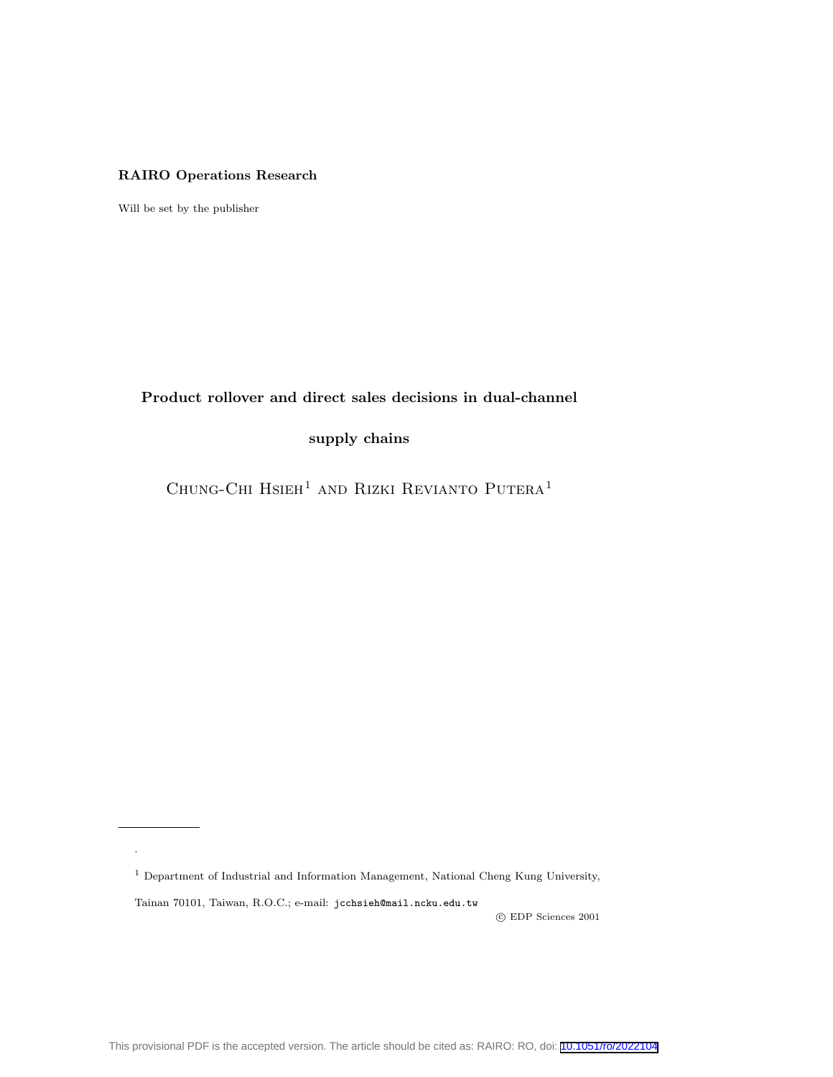## RAIRO Operations Research

Will be set by the publisher

Product rollover and direct sales decisions in dual-channel

supply chains

CHUNG-CHI $\operatorname{HSEH}^1$  and RIZKI REVIANTO  $\operatorname{PUTERA}^1$ 

<sup>1</sup> Department of Industrial and Information Management, National Cheng Kung University,

Tainan 70101, Taiwan, R.O.C.; e-mail: jcchsieh@mail.ncku.edu.tw

.

c EDP Sciences 2001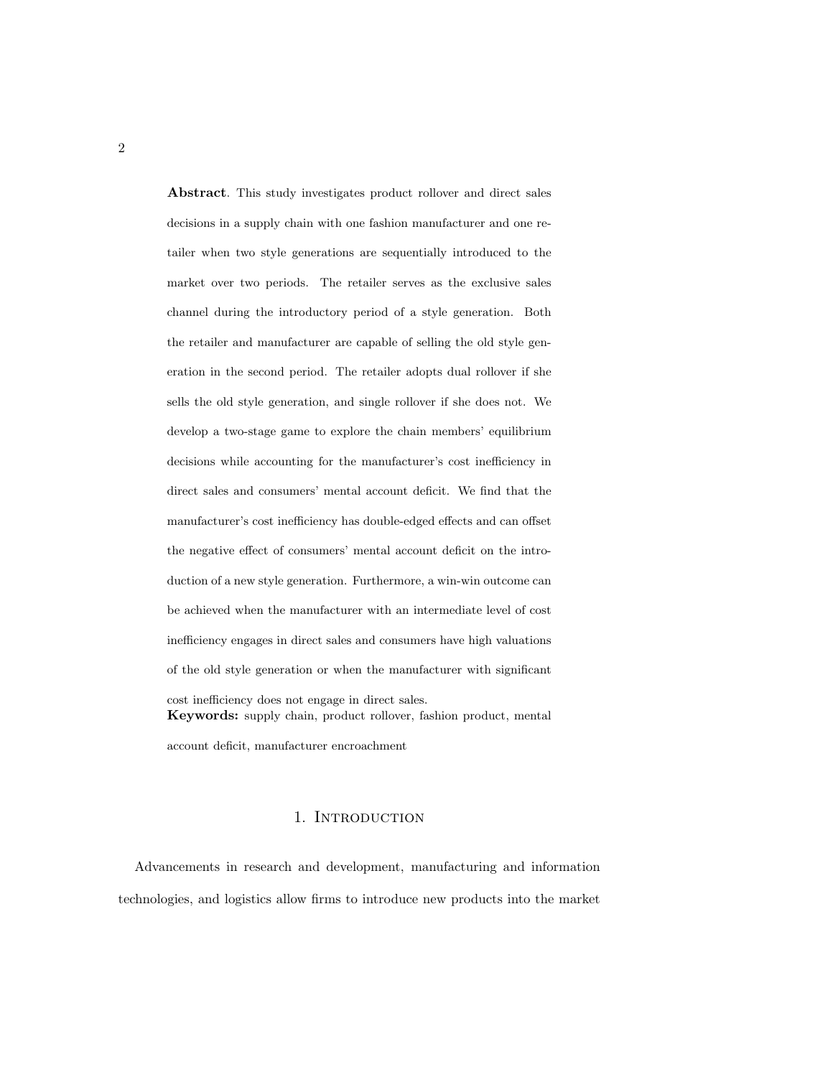Abstract. This study investigates product rollover and direct sales decisions in a supply chain with one fashion manufacturer and one retailer when two style generations are sequentially introduced to the market over two periods. The retailer serves as the exclusive sales channel during the introductory period of a style generation. Both the retailer and manufacturer are capable of selling the old style generation in the second period. The retailer adopts dual rollover if she sells the old style generation, and single rollover if she does not. We develop a two-stage game to explore the chain members' equilibrium decisions while accounting for the manufacturer's cost inefficiency in direct sales and consumers' mental account deficit. We find that the manufacturer's cost inefficiency has double-edged effects and can offset the negative effect of consumers' mental account deficit on the introduction of a new style generation. Furthermore, a win-win outcome can be achieved when the manufacturer with an intermediate level of cost inefficiency engages in direct sales and consumers have high valuations of the old style generation or when the manufacturer with significant cost inefficiency does not engage in direct sales. Keywords: supply chain, product rollover, fashion product, mental

account deficit, manufacturer encroachment

#### 1. INTRODUCTION

Advancements in research and development, manufacturing and information technologies, and logistics allow firms to introduce new products into the market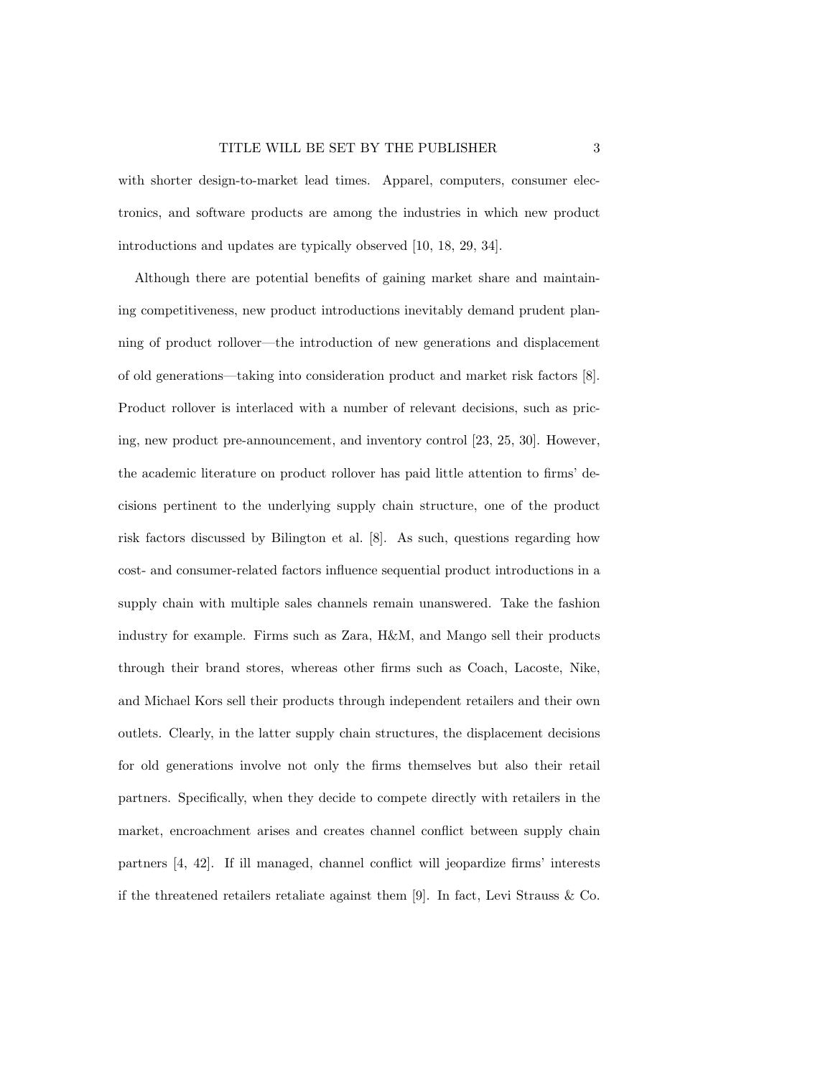with shorter design-to-market lead times. Apparel, computers, consumer electronics, and software products are among the industries in which new product introductions and updates are typically observed [10, 18, 29, 34].

Although there are potential benefits of gaining market share and maintaining competitiveness, new product introductions inevitably demand prudent planning of product rollover—the introduction of new generations and displacement of old generations—taking into consideration product and market risk factors [8]. Product rollover is interlaced with a number of relevant decisions, such as pricing, new product pre-announcement, and inventory control [23, 25, 30]. However, the academic literature on product rollover has paid little attention to firms' decisions pertinent to the underlying supply chain structure, one of the product risk factors discussed by Bilington et al. [8]. As such, questions regarding how cost- and consumer-related factors influence sequential product introductions in a supply chain with multiple sales channels remain unanswered. Take the fashion industry for example. Firms such as Zara, H&M, and Mango sell their products through their brand stores, whereas other firms such as Coach, Lacoste, Nike, and Michael Kors sell their products through independent retailers and their own outlets. Clearly, in the latter supply chain structures, the displacement decisions for old generations involve not only the firms themselves but also their retail partners. Specifically, when they decide to compete directly with retailers in the market, encroachment arises and creates channel conflict between supply chain partners [4, 42]. If ill managed, channel conflict will jeopardize firms' interests if the threatened retailers retaliate against them [9]. In fact, Levi Strauss & Co.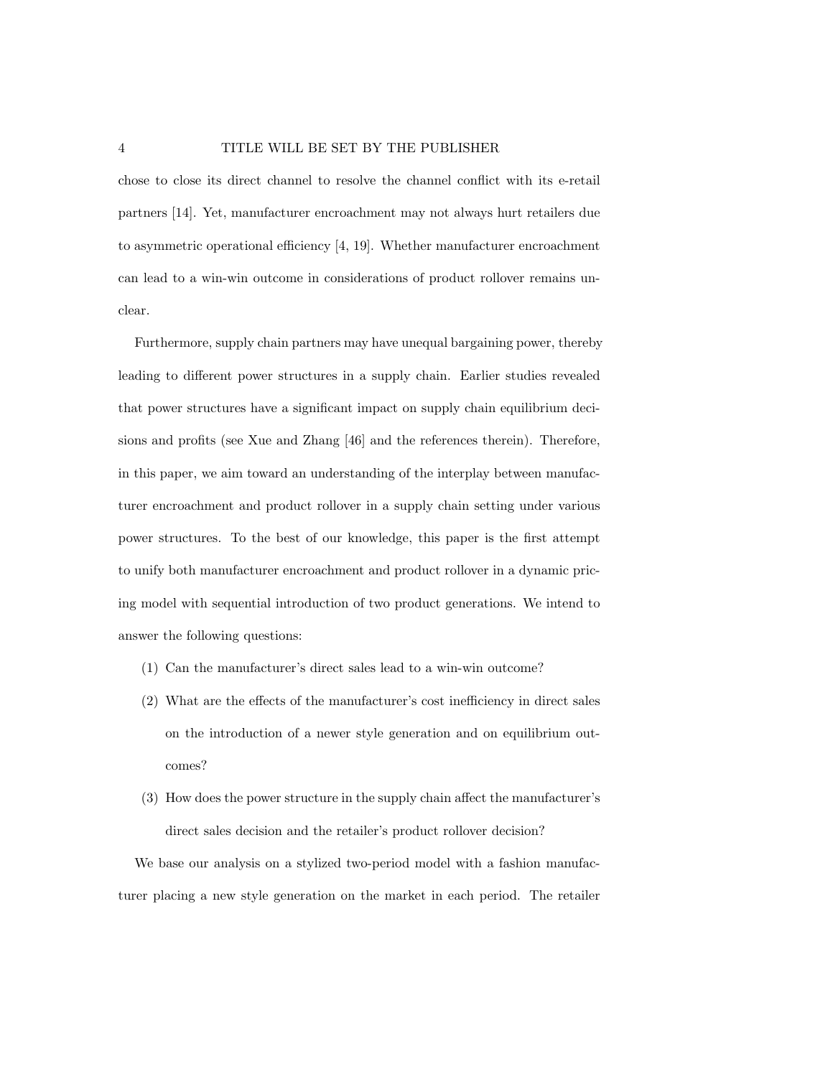chose to close its direct channel to resolve the channel conflict with its e-retail partners [14]. Yet, manufacturer encroachment may not always hurt retailers due to asymmetric operational efficiency [4, 19]. Whether manufacturer encroachment can lead to a win-win outcome in considerations of product rollover remains unclear.

Furthermore, supply chain partners may have unequal bargaining power, thereby leading to different power structures in a supply chain. Earlier studies revealed that power structures have a significant impact on supply chain equilibrium decisions and profits (see Xue and Zhang [46] and the references therein). Therefore, in this paper, we aim toward an understanding of the interplay between manufacturer encroachment and product rollover in a supply chain setting under various power structures. To the best of our knowledge, this paper is the first attempt to unify both manufacturer encroachment and product rollover in a dynamic pricing model with sequential introduction of two product generations. We intend to answer the following questions:

- (1) Can the manufacturer's direct sales lead to a win-win outcome?
- (2) What are the effects of the manufacturer's cost inefficiency in direct sales on the introduction of a newer style generation and on equilibrium outcomes?
- (3) How does the power structure in the supply chain affect the manufacturer's direct sales decision and the retailer's product rollover decision?

We base our analysis on a stylized two-period model with a fashion manufacturer placing a new style generation on the market in each period. The retailer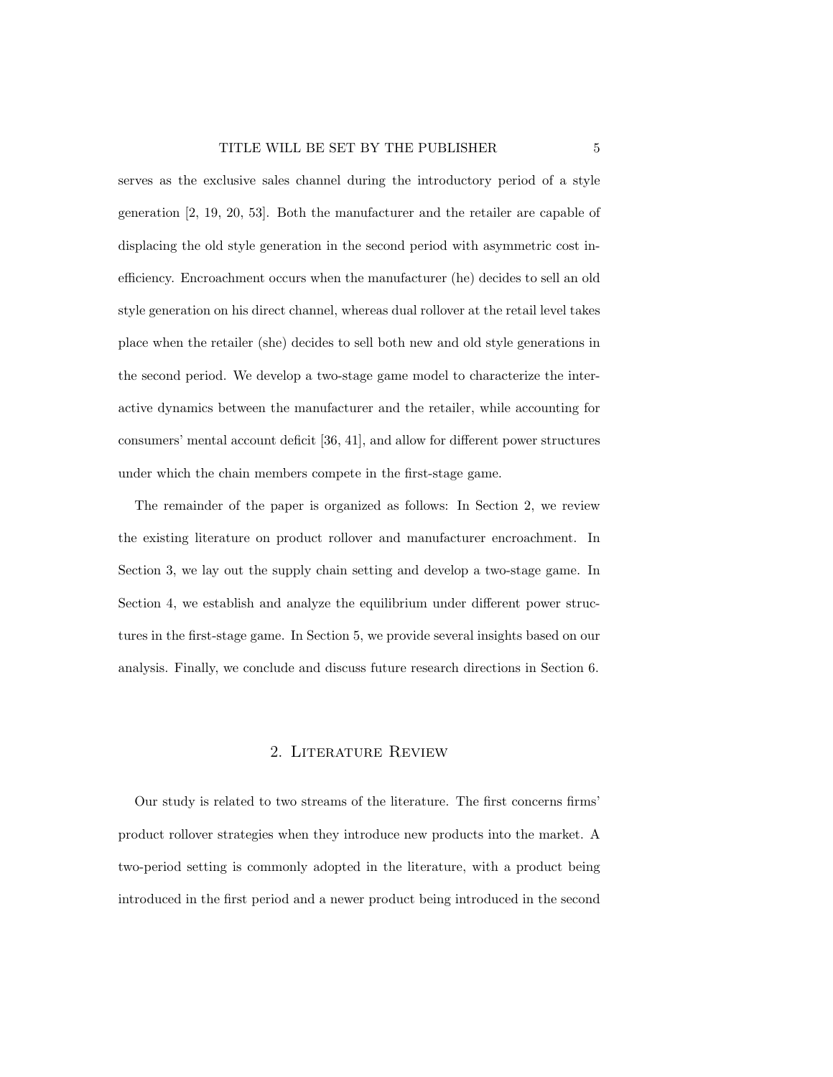serves as the exclusive sales channel during the introductory period of a style generation [2, 19, 20, 53]. Both the manufacturer and the retailer are capable of displacing the old style generation in the second period with asymmetric cost inefficiency. Encroachment occurs when the manufacturer (he) decides to sell an old style generation on his direct channel, whereas dual rollover at the retail level takes place when the retailer (she) decides to sell both new and old style generations in the second period. We develop a two-stage game model to characterize the interactive dynamics between the manufacturer and the retailer, while accounting for consumers' mental account deficit [36, 41], and allow for different power structures under which the chain members compete in the first-stage game.

The remainder of the paper is organized as follows: In Section 2, we review the existing literature on product rollover and manufacturer encroachment. In Section 3, we lay out the supply chain setting and develop a two-stage game. In Section 4, we establish and analyze the equilibrium under different power structures in the first-stage game. In Section 5, we provide several insights based on our analysis. Finally, we conclude and discuss future research directions in Section 6.

## 2. Literature Review

Our study is related to two streams of the literature. The first concerns firms' product rollover strategies when they introduce new products into the market. A two-period setting is commonly adopted in the literature, with a product being introduced in the first period and a newer product being introduced in the second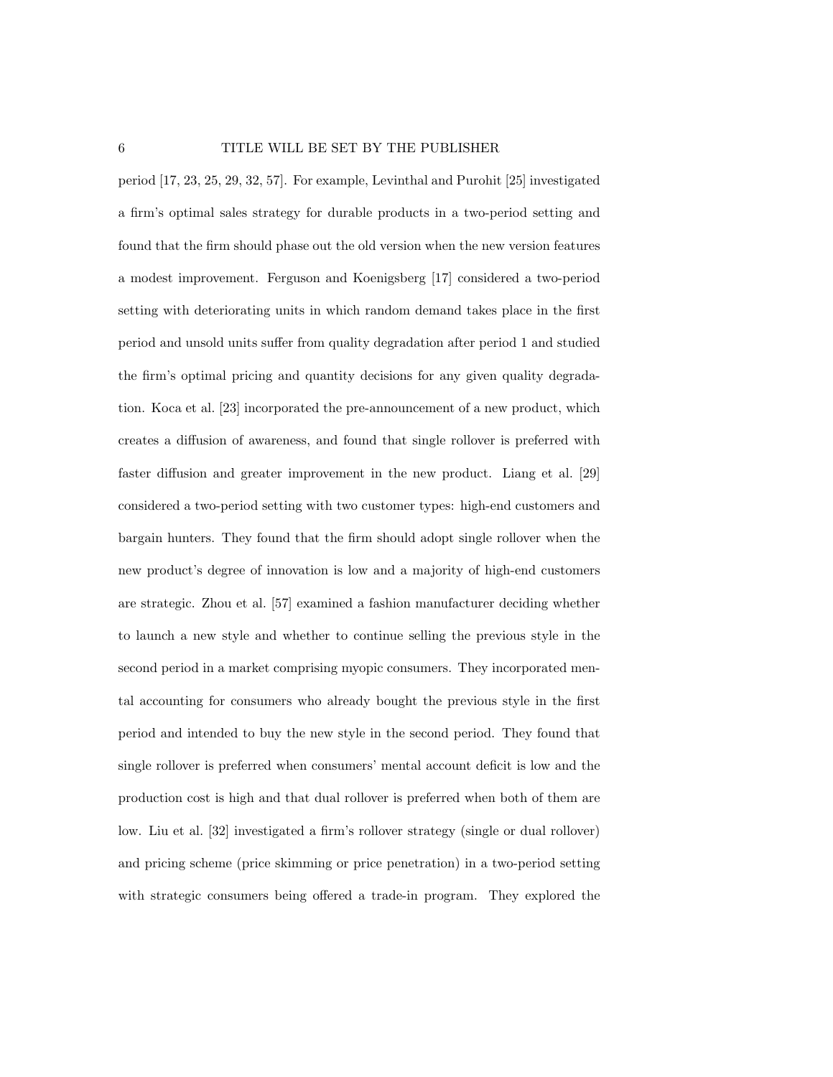period [17, 23, 25, 29, 32, 57]. For example, Levinthal and Purohit [25] investigated a firm's optimal sales strategy for durable products in a two-period setting and found that the firm should phase out the old version when the new version features a modest improvement. Ferguson and Koenigsberg [17] considered a two-period setting with deteriorating units in which random demand takes place in the first period and unsold units suffer from quality degradation after period 1 and studied the firm's optimal pricing and quantity decisions for any given quality degradation. Koca et al. [23] incorporated the pre-announcement of a new product, which creates a diffusion of awareness, and found that single rollover is preferred with faster diffusion and greater improvement in the new product. Liang et al. [29] considered a two-period setting with two customer types: high-end customers and bargain hunters. They found that the firm should adopt single rollover when the new product's degree of innovation is low and a majority of high-end customers are strategic. Zhou et al. [57] examined a fashion manufacturer deciding whether to launch a new style and whether to continue selling the previous style in the second period in a market comprising myopic consumers. They incorporated mental accounting for consumers who already bought the previous style in the first period and intended to buy the new style in the second period. They found that single rollover is preferred when consumers' mental account deficit is low and the production cost is high and that dual rollover is preferred when both of them are low. Liu et al. [32] investigated a firm's rollover strategy (single or dual rollover) and pricing scheme (price skimming or price penetration) in a two-period setting with strategic consumers being offered a trade-in program. They explored the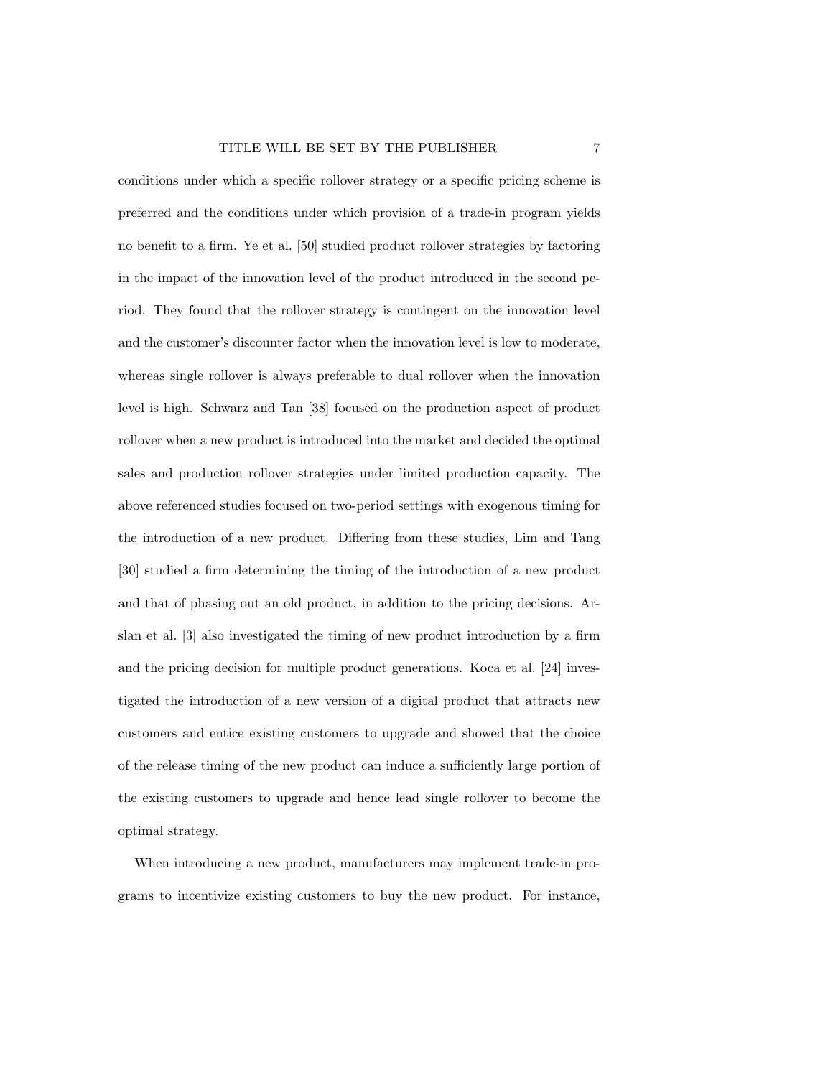conditions under which a specific rollover strategy or a specific pricing scheme is preferred and the conditions under which provision of a trade-in program yields no benefit to a firm. Ye et al. [50] studied product rollover strategies by factoring in the impact of the innovation level of the product introduced in the second period. They found that the rollover strategy is contingent on the innovation level and the customer's discounter factor when the innovation level is low to moderate, whereas single rollover is always preferable to dual rollover when the innovation level is high. Schwarz and Tan [38] focused on the production aspect of product rollover when a new product is introduced into the market and decided the optimal sales and production rollover strategies under limited production capacity. The above referenced studies focused on two-period settings with exogenous timing for the introduction of a new product. Differing from these studies, Lim and Tang [30] studied a firm determining the timing of the introduction of a new product and that of phasing out an old product, in addition to the pricing decisions. Arslan et al. [3] also investigated the timing of new product introduction by a firm and the pricing decision for multiple product generations. Koca et al. [24] investigated the introduction of a new version of a digital product that attracts new customers and entice existing customers to upgrade and showed that the choice of the release timing of the new product can induce a sufficiently large portion of the existing customers to upgrade and hence lead single rollover to become the optimal strategy.

When introducing a new product, manufacturers may implement trade-in programs to incentivize existing customers to buy the new product. For instance,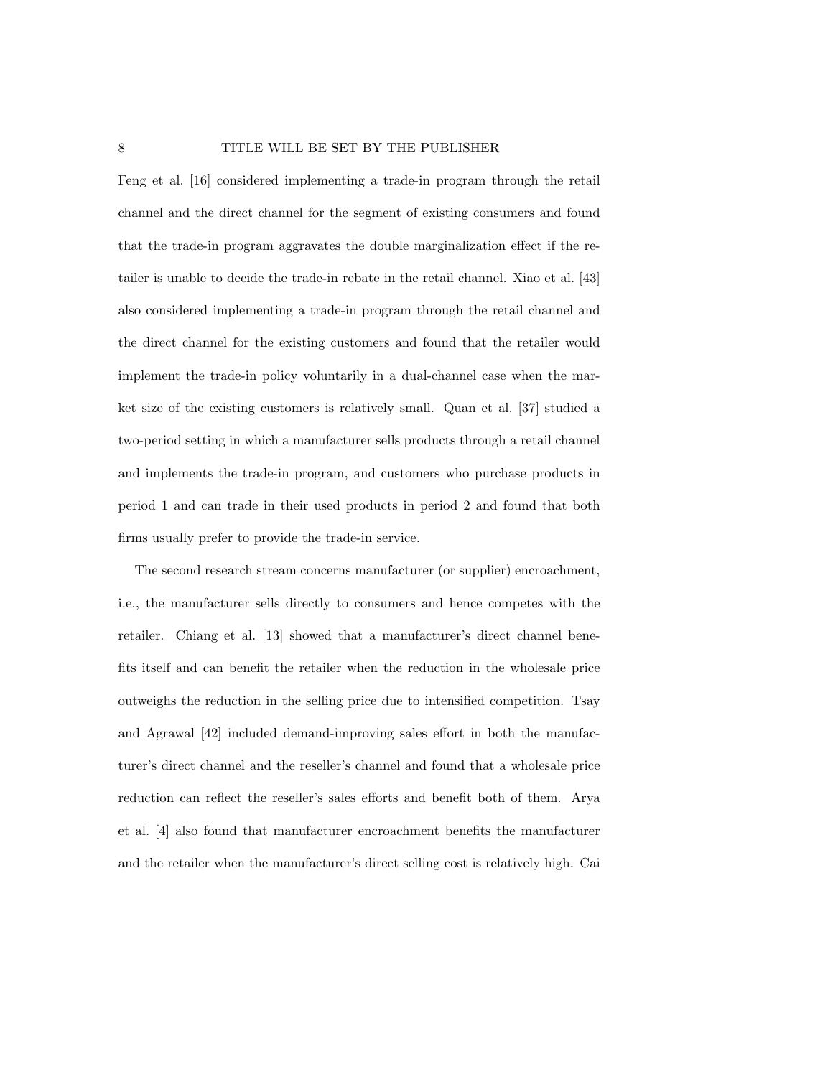Feng et al. [16] considered implementing a trade-in program through the retail channel and the direct channel for the segment of existing consumers and found that the trade-in program aggravates the double marginalization effect if the retailer is unable to decide the trade-in rebate in the retail channel. Xiao et al. [43] also considered implementing a trade-in program through the retail channel and the direct channel for the existing customers and found that the retailer would implement the trade-in policy voluntarily in a dual-channel case when the market size of the existing customers is relatively small. Quan et al. [37] studied a two-period setting in which a manufacturer sells products through a retail channel and implements the trade-in program, and customers who purchase products in period 1 and can trade in their used products in period 2 and found that both firms usually prefer to provide the trade-in service.

The second research stream concerns manufacturer (or supplier) encroachment, i.e., the manufacturer sells directly to consumers and hence competes with the retailer. Chiang et al. [13] showed that a manufacturer's direct channel benefits itself and can benefit the retailer when the reduction in the wholesale price outweighs the reduction in the selling price due to intensified competition. Tsay and Agrawal [42] included demand-improving sales effort in both the manufacturer's direct channel and the reseller's channel and found that a wholesale price reduction can reflect the reseller's sales efforts and benefit both of them. Arya et al. [4] also found that manufacturer encroachment benefits the manufacturer and the retailer when the manufacturer's direct selling cost is relatively high. Cai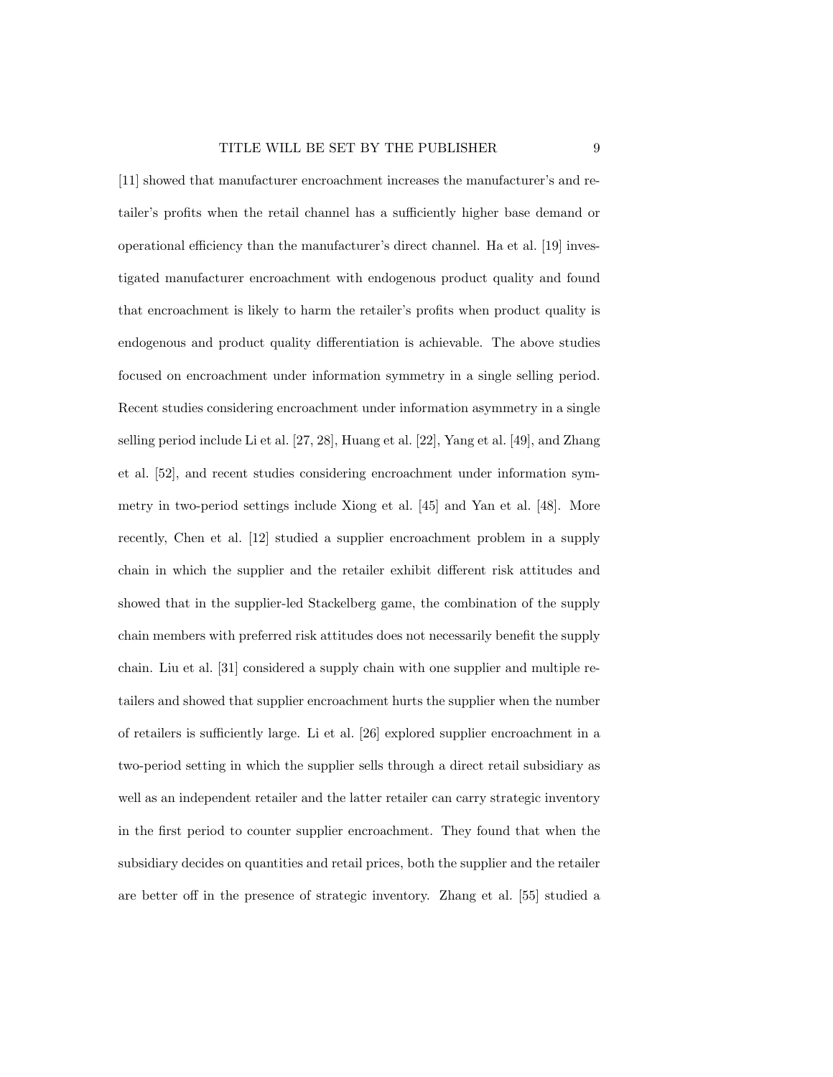[11] showed that manufacturer encroachment increases the manufacturer's and retailer's profits when the retail channel has a sufficiently higher base demand or operational efficiency than the manufacturer's direct channel. Ha et al. [19] investigated manufacturer encroachment with endogenous product quality and found that encroachment is likely to harm the retailer's profits when product quality is endogenous and product quality differentiation is achievable. The above studies focused on encroachment under information symmetry in a single selling period. Recent studies considering encroachment under information asymmetry in a single selling period include Li et al. [27, 28], Huang et al. [22], Yang et al. [49], and Zhang et al. [52], and recent studies considering encroachment under information symmetry in two-period settings include Xiong et al. [45] and Yan et al. [48]. More recently, Chen et al. [12] studied a supplier encroachment problem in a supply chain in which the supplier and the retailer exhibit different risk attitudes and showed that in the supplier-led Stackelberg game, the combination of the supply chain members with preferred risk attitudes does not necessarily benefit the supply chain. Liu et al. [31] considered a supply chain with one supplier and multiple retailers and showed that supplier encroachment hurts the supplier when the number of retailers is sufficiently large. Li et al. [26] explored supplier encroachment in a two-period setting in which the supplier sells through a direct retail subsidiary as well as an independent retailer and the latter retailer can carry strategic inventory in the first period to counter supplier encroachment. They found that when the subsidiary decides on quantities and retail prices, both the supplier and the retailer are better off in the presence of strategic inventory. Zhang et al. [55] studied a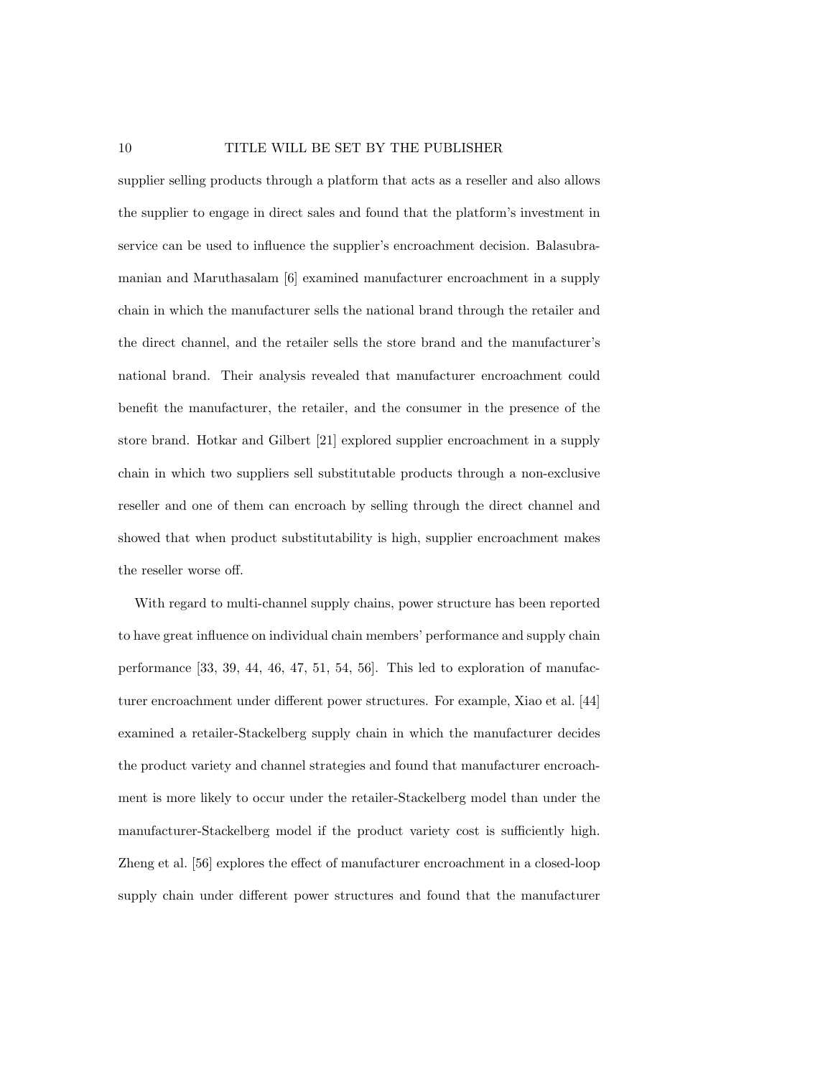#### 10 TITLE WILL BE SET BY THE PUBLISHER

supplier selling products through a platform that acts as a reseller and also allows the supplier to engage in direct sales and found that the platform's investment in service can be used to influence the supplier's encroachment decision. Balasubramanian and Maruthasalam [6] examined manufacturer encroachment in a supply chain in which the manufacturer sells the national brand through the retailer and the direct channel, and the retailer sells the store brand and the manufacturer's national brand. Their analysis revealed that manufacturer encroachment could benefit the manufacturer, the retailer, and the consumer in the presence of the store brand. Hotkar and Gilbert [21] explored supplier encroachment in a supply chain in which two suppliers sell substitutable products through a non-exclusive reseller and one of them can encroach by selling through the direct channel and showed that when product substitutability is high, supplier encroachment makes the reseller worse off.

With regard to multi-channel supply chains, power structure has been reported to have great influence on individual chain members' performance and supply chain performance [33, 39, 44, 46, 47, 51, 54, 56]. This led to exploration of manufacturer encroachment under different power structures. For example, Xiao et al. [44] examined a retailer-Stackelberg supply chain in which the manufacturer decides the product variety and channel strategies and found that manufacturer encroachment is more likely to occur under the retailer-Stackelberg model than under the manufacturer-Stackelberg model if the product variety cost is sufficiently high. Zheng et al. [56] explores the effect of manufacturer encroachment in a closed-loop supply chain under different power structures and found that the manufacturer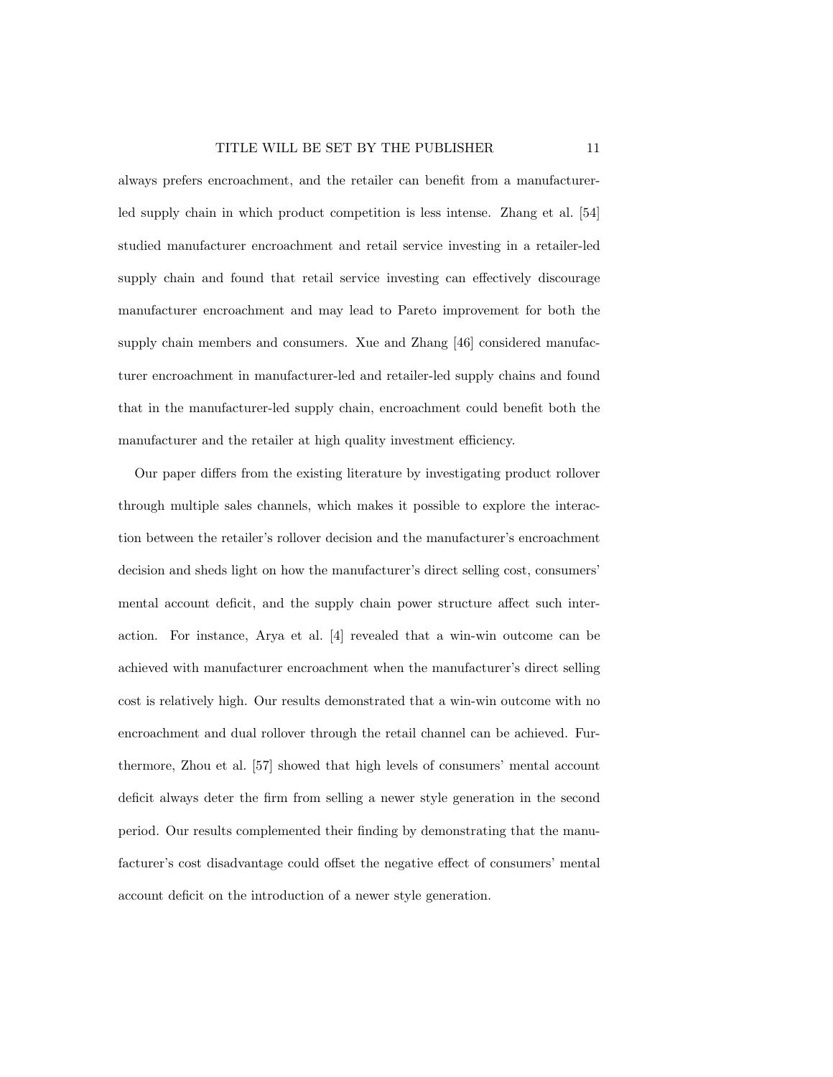always prefers encroachment, and the retailer can benefit from a manufacturerled supply chain in which product competition is less intense. Zhang et al. [54] studied manufacturer encroachment and retail service investing in a retailer-led supply chain and found that retail service investing can effectively discourage manufacturer encroachment and may lead to Pareto improvement for both the supply chain members and consumers. Xue and Zhang [46] considered manufacturer encroachment in manufacturer-led and retailer-led supply chains and found that in the manufacturer-led supply chain, encroachment could benefit both the manufacturer and the retailer at high quality investment efficiency.

Our paper differs from the existing literature by investigating product rollover through multiple sales channels, which makes it possible to explore the interaction between the retailer's rollover decision and the manufacturer's encroachment decision and sheds light on how the manufacturer's direct selling cost, consumers' mental account deficit, and the supply chain power structure affect such interaction. For instance, Arya et al. [4] revealed that a win-win outcome can be achieved with manufacturer encroachment when the manufacturer's direct selling cost is relatively high. Our results demonstrated that a win-win outcome with no encroachment and dual rollover through the retail channel can be achieved. Furthermore, Zhou et al. [57] showed that high levels of consumers' mental account deficit always deter the firm from selling a newer style generation in the second period. Our results complemented their finding by demonstrating that the manufacturer's cost disadvantage could offset the negative effect of consumers' mental account deficit on the introduction of a newer style generation.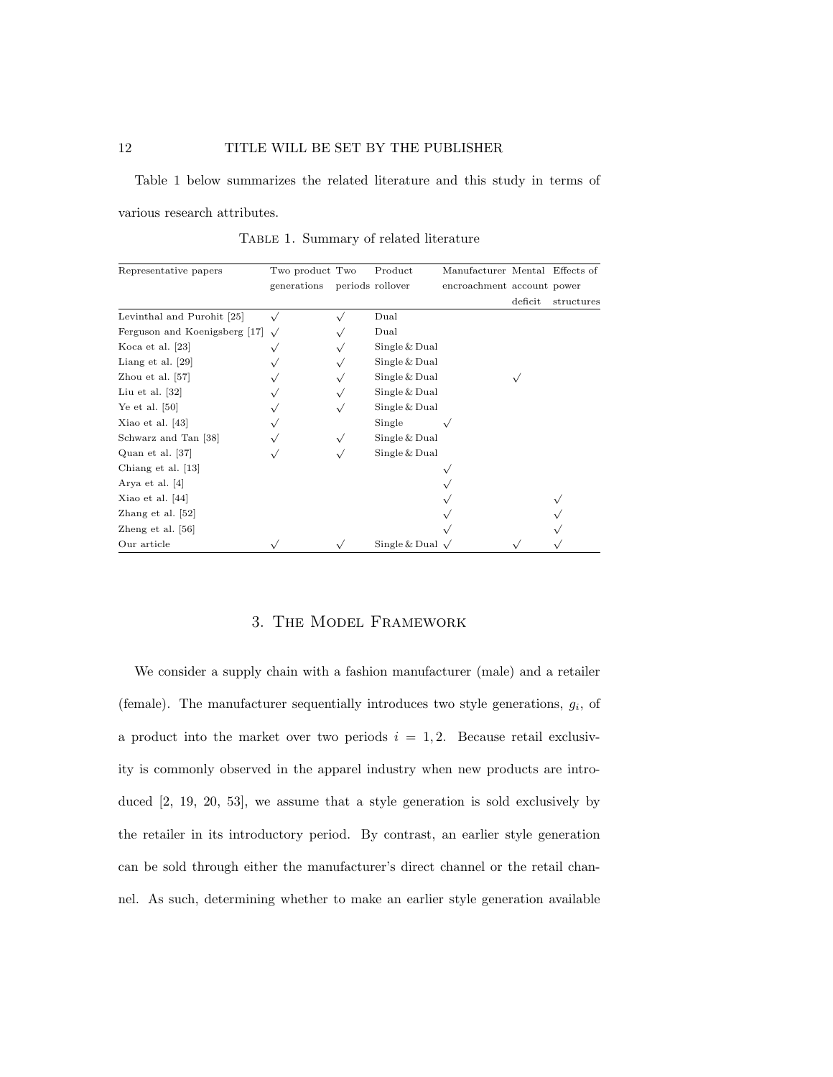Table 1 below summarizes the related literature and this study in terms of various research attributes.

Table 1. Summary of related literature

| Representative papers         | Two product Two | Product               | Manufacturer Mental Effects of |         |            |
|-------------------------------|-----------------|-----------------------|--------------------------------|---------|------------|
|                               | generations     | periods rollover      | encroachment account power     |         |            |
|                               |                 |                       |                                | deficit | structures |
| Levinthal and Purohit [25]    |                 | Dual                  |                                |         |            |
| Ferguson and Koenigsberg [17] |                 | Dual                  |                                |         |            |
| Koca et al. [23]              |                 | Single & Dual         |                                |         |            |
| Liang et al. $[29]$           |                 | Single & Dual         |                                |         |            |
| Zhou et al. [57]              |                 | Single & Dual         |                                |         |            |
| Liu et al. $[32]$             |                 | Single & Dual         |                                |         |            |
| Ye et al. $[50]$              |                 | Single & Dual         |                                |         |            |
| Xiao et al. $[43]$            |                 | Single                |                                |         |            |
| Schwarz and Tan [38]          |                 | Single & Dual         |                                |         |            |
| Quan et al. [37]              |                 | Single & Dual         |                                |         |            |
| Chiang et al. [13]            |                 |                       |                                |         |            |
| Arya et al. [4]               |                 |                       |                                |         |            |
| Xiao et al. $[44]$            |                 |                       |                                |         |            |
| Zhang et al. $[52]$           |                 |                       |                                |         |            |
| Zheng et al. $[56]$           |                 |                       |                                |         |            |
| Our article                   |                 | Single & Dual $\sqrt$ |                                |         |            |

## 3. The Model Framework

We consider a supply chain with a fashion manufacturer (male) and a retailer (female). The manufacturer sequentially introduces two style generations,  $g_i$ , of a product into the market over two periods  $i = 1, 2$ . Because retail exclusivity is commonly observed in the apparel industry when new products are introduced [2, 19, 20, 53], we assume that a style generation is sold exclusively by the retailer in its introductory period. By contrast, an earlier style generation can be sold through either the manufacturer's direct channel or the retail channel. As such, determining whether to make an earlier style generation available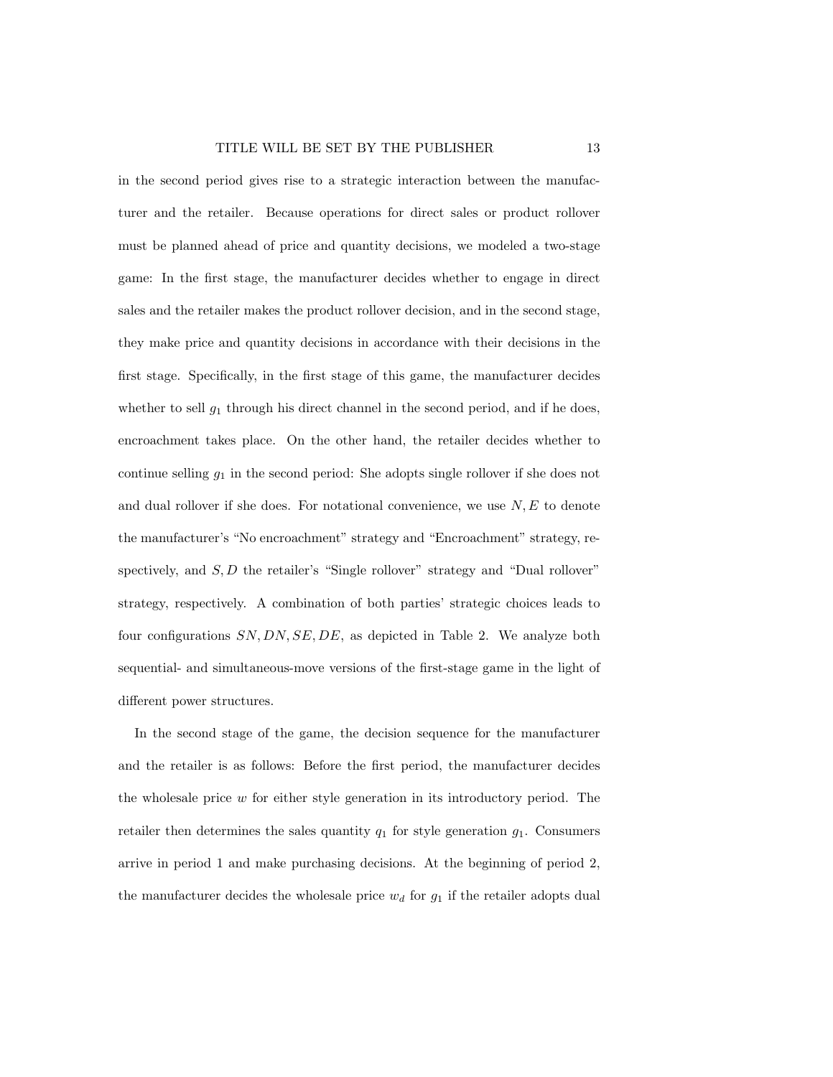in the second period gives rise to a strategic interaction between the manufacturer and the retailer. Because operations for direct sales or product rollover must be planned ahead of price and quantity decisions, we modeled a two-stage game: In the first stage, the manufacturer decides whether to engage in direct sales and the retailer makes the product rollover decision, and in the second stage, they make price and quantity decisions in accordance with their decisions in the first stage. Specifically, in the first stage of this game, the manufacturer decides whether to sell  $g_1$  through his direct channel in the second period, and if he does, encroachment takes place. On the other hand, the retailer decides whether to continue selling  $g_1$  in the second period: She adopts single rollover if she does not and dual rollover if she does. For notational convenience, we use  $N, E$  to denote the manufacturer's "No encroachment" strategy and "Encroachment" strategy, respectively, and  $S, D$  the retailer's "Single rollover" strategy and "Dual rollover" strategy, respectively. A combination of both parties' strategic choices leads to four configurations  $SN, DN, SE, DE$ , as depicted in Table 2. We analyze both sequential- and simultaneous-move versions of the first-stage game in the light of different power structures.

In the second stage of the game, the decision sequence for the manufacturer and the retailer is as follows: Before the first period, the manufacturer decides the wholesale price  $w$  for either style generation in its introductory period. The retailer then determines the sales quantity  $q_1$  for style generation  $g_1$ . Consumers arrive in period 1 and make purchasing decisions. At the beginning of period 2, the manufacturer decides the wholesale price  $w_d$  for  $g_1$  if the retailer adopts dual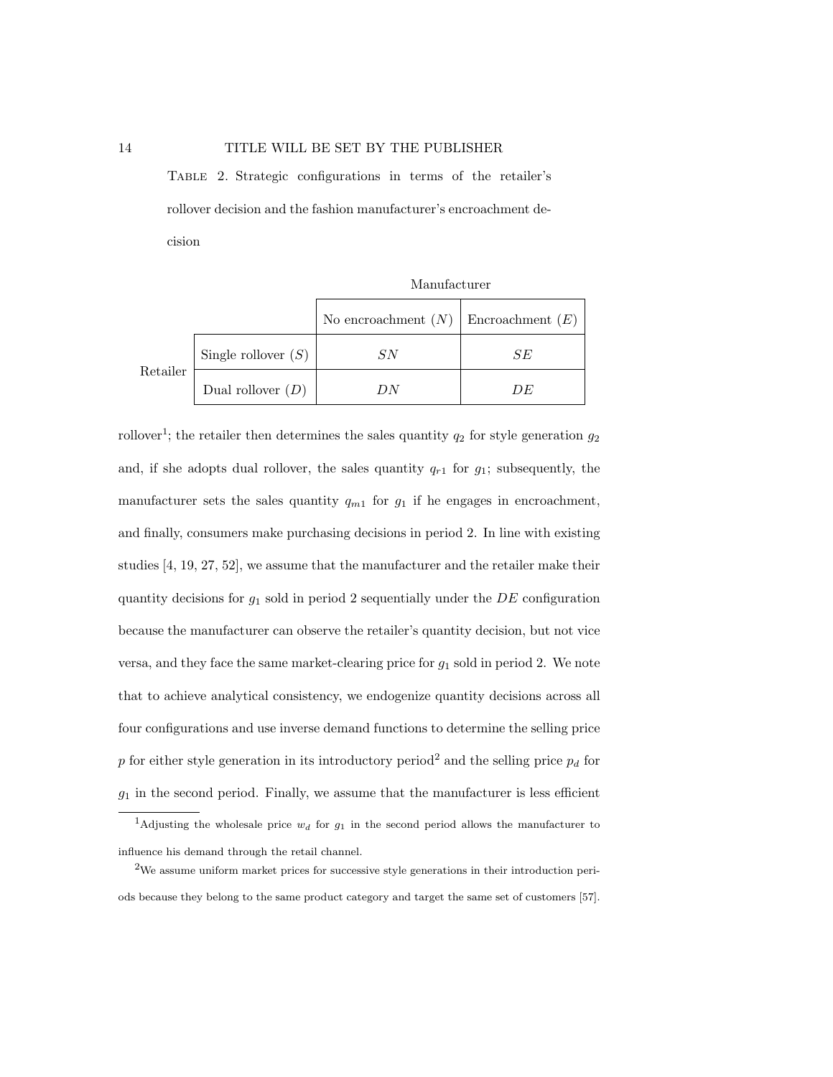Table 2. Strategic configurations in terms of the retailer's rollover decision and the fashion manufacturer's encroachment decision

Manufacturer

|          |                       | No encroachment $(N)$ Encroachment $(E)$ |       |
|----------|-----------------------|------------------------------------------|-------|
| Retailer | Single rollover $(S)$ | S N                                      | SE    |
|          | Dual rollover $(D)$   |                                          | 1) F. |

rollover<sup>1</sup>; the retailer then determines the sales quantity  $q_2$  for style generation  $g_2$ and, if she adopts dual rollover, the sales quantity  $q_{r1}$  for  $g_1$ ; subsequently, the manufacturer sets the sales quantity  $q_{m1}$  for  $g_1$  if he engages in encroachment, and finally, consumers make purchasing decisions in period 2. In line with existing studies [4, 19, 27, 52], we assume that the manufacturer and the retailer make their quantity decisions for  $g_1$  sold in period 2 sequentially under the  $DE$  configuration because the manufacturer can observe the retailer's quantity decision, but not vice versa, and they face the same market-clearing price for  $g_1$  sold in period 2. We note that to achieve analytical consistency, we endogenize quantity decisions across all four configurations and use inverse demand functions to determine the selling price p for either style generation in its introductory period<sup>2</sup> and the selling price  $p_d$  for  $g_1$  in the second period. Finally, we assume that the manufacturer is less efficient

<sup>&</sup>lt;sup>1</sup>Adjusting the wholesale price  $w_d$  for  $g_1$  in the second period allows the manufacturer to influence his demand through the retail channel.

<sup>2</sup>We assume uniform market prices for successive style generations in their introduction periods because they belong to the same product category and target the same set of customers [57].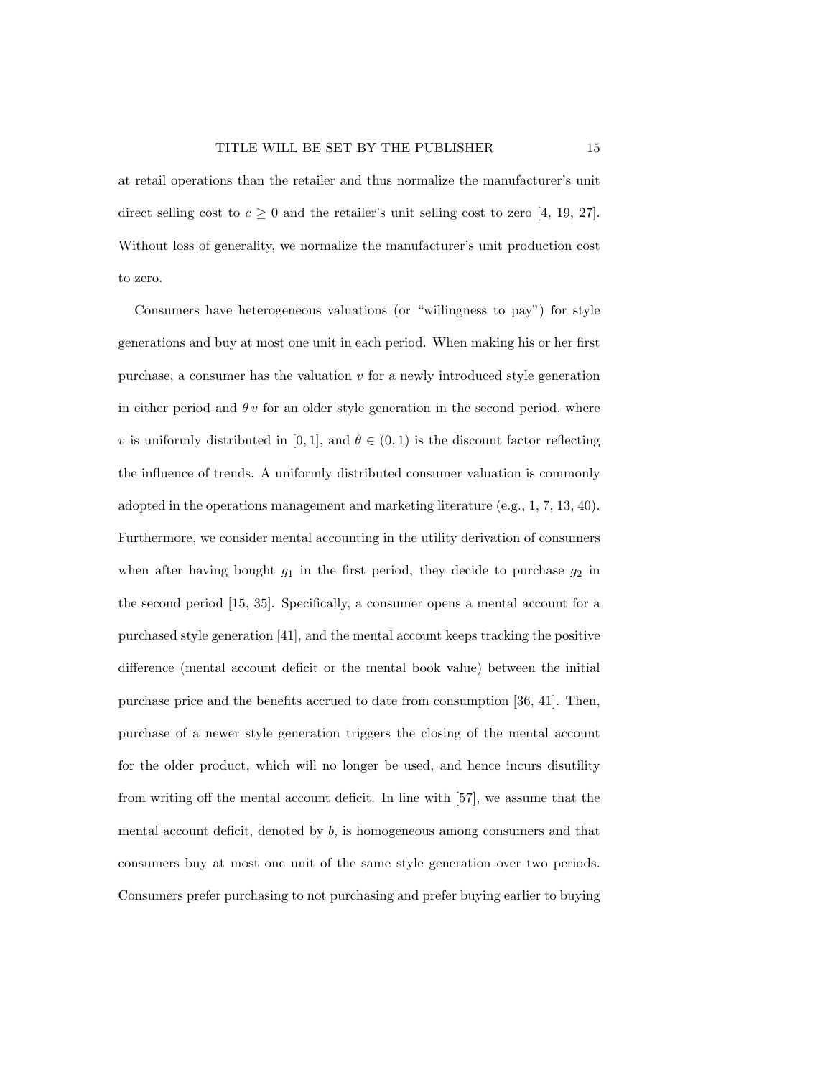at retail operations than the retailer and thus normalize the manufacturer's unit direct selling cost to  $c \geq 0$  and the retailer's unit selling cost to zero [4, 19, 27]. Without loss of generality, we normalize the manufacturer's unit production cost to zero.

Consumers have heterogeneous valuations (or "willingness to pay") for style generations and buy at most one unit in each period. When making his or her first purchase, a consumer has the valuation  $v$  for a newly introduced style generation in either period and  $\theta v$  for an older style generation in the second period, where v is uniformly distributed in [0, 1], and  $\theta \in (0, 1)$  is the discount factor reflecting the influence of trends. A uniformly distributed consumer valuation is commonly adopted in the operations management and marketing literature (e.g., 1, 7, 13, 40). Furthermore, we consider mental accounting in the utility derivation of consumers when after having bought  $g_1$  in the first period, they decide to purchase  $g_2$  in the second period [15, 35]. Specifically, a consumer opens a mental account for a purchased style generation [41], and the mental account keeps tracking the positive difference (mental account deficit or the mental book value) between the initial purchase price and the benefits accrued to date from consumption [36, 41]. Then, purchase of a newer style generation triggers the closing of the mental account for the older product, which will no longer be used, and hence incurs disutility from writing off the mental account deficit. In line with [57], we assume that the mental account deficit, denoted by  $b$ , is homogeneous among consumers and that consumers buy at most one unit of the same style generation over two periods. Consumers prefer purchasing to not purchasing and prefer buying earlier to buying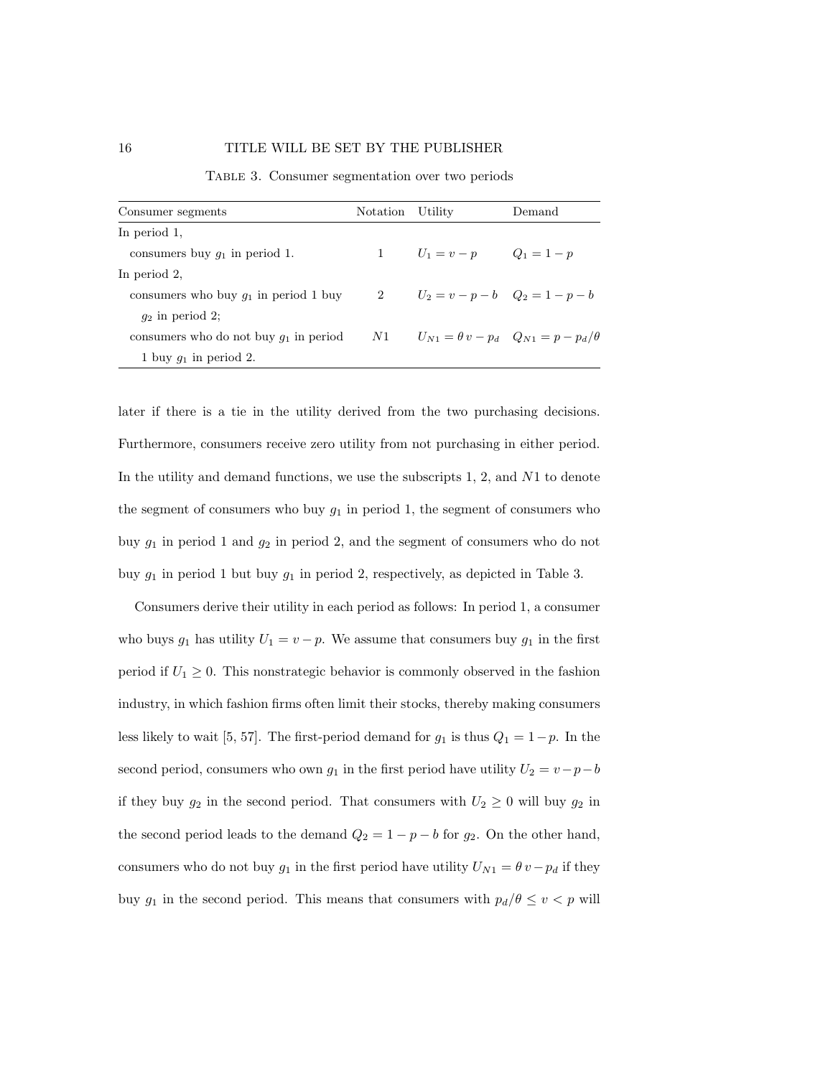| Consumer segments                        | Notation Utility |                                       | Demand                                                  |
|------------------------------------------|------------------|---------------------------------------|---------------------------------------------------------|
| In period 1.                             |                  |                                       |                                                         |
| consumers buy $q_1$ in period 1.         |                  | 1 $U_1 = v - p$ $Q_1 = 1 - p$         |                                                         |
| In period 2.                             |                  |                                       |                                                         |
| consumers who buy $q_1$ in period 1 buy  |                  | 2 $U_2 = v - p - b$ $Q_2 = 1 - p - b$ |                                                         |
| $q_2$ in period 2;                       |                  |                                       |                                                         |
| consumers who do not buy $q_1$ in period | N1               |                                       | $U_{N1} = \theta v - p_d \quad Q_{N1} = p - p_d/\theta$ |
| 1 buy $q_1$ in period 2.                 |                  |                                       |                                                         |

Table 3. Consumer segmentation over two periods

later if there is a tie in the utility derived from the two purchasing decisions. Furthermore, consumers receive zero utility from not purchasing in either period. In the utility and demand functions, we use the subscripts 1, 2, and N1 to denote the segment of consumers who buy  $g_1$  in period 1, the segment of consumers who buy  $g_1$  in period 1 and  $g_2$  in period 2, and the segment of consumers who do not buy  $g_1$  in period 1 but buy  $g_1$  in period 2, respectively, as depicted in Table 3.

Consumers derive their utility in each period as follows: In period 1, a consumer who buys  $g_1$  has utility  $U_1 = v - p$ . We assume that consumers buy  $g_1$  in the first period if  $U_1 \geq 0$ . This nonstrategic behavior is commonly observed in the fashion industry, in which fashion firms often limit their stocks, thereby making consumers less likely to wait [5, 57]. The first-period demand for  $g_1$  is thus  $Q_1 = 1-p$ . In the second period, consumers who own  $g_1$  in the first period have utility  $U_2 = v - p - b$ if they buy  $g_2$  in the second period. That consumers with  $U_2 \geq 0$  will buy  $g_2$  in the second period leads to the demand  $Q_2 = 1 - p - b$  for  $g_2$ . On the other hand, consumers who do not buy  $g_1$  in the first period have utility  $U_{N1} = \theta v - p_d$  if they buy  $g_1$  in the second period. This means that consumers with  $p_d/\theta \le v < p$  will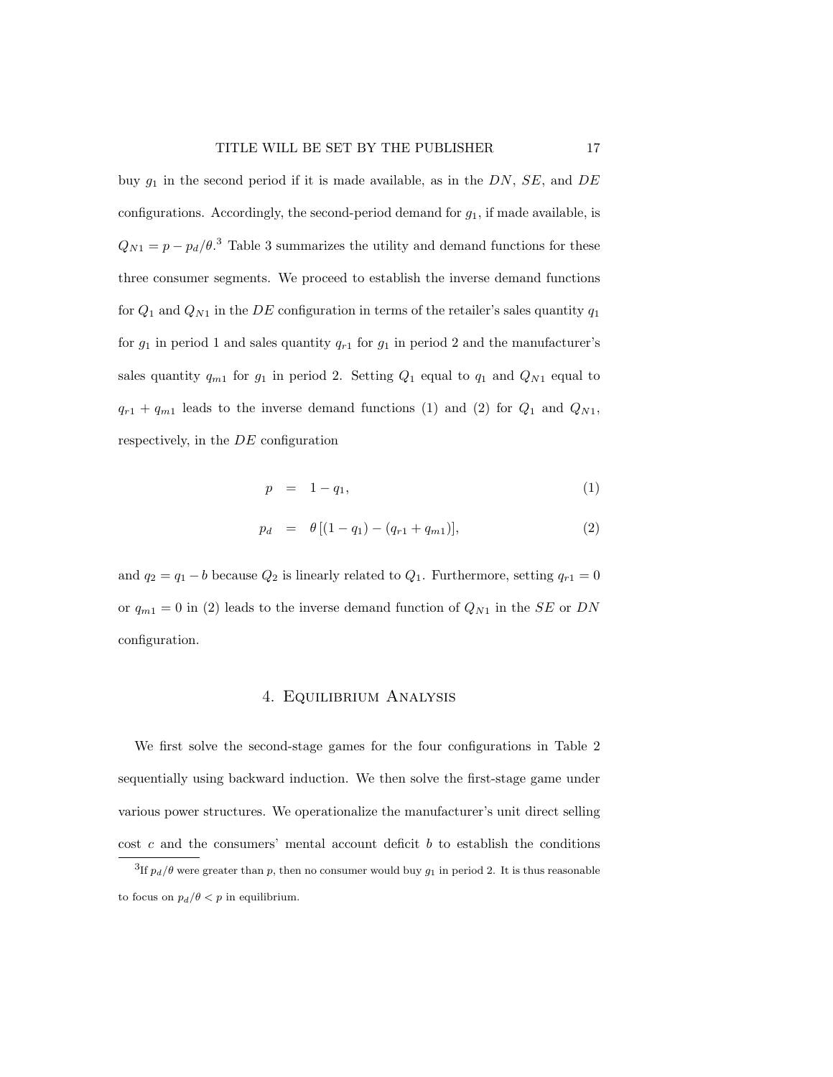buy  $g_1$  in the second period if it is made available, as in the DN, SE, and DE configurations. Accordingly, the second-period demand for  $g_1$ , if made available, is  $Q_{N1} = p - p_d/\theta$ <sup>3</sup> Table 3 summarizes the utility and demand functions for these three consumer segments. We proceed to establish the inverse demand functions for  $Q_1$  and  $Q_{N1}$  in the DE configuration in terms of the retailer's sales quantity  $q_1$ for  $g_1$  in period 1 and sales quantity  $q_{r1}$  for  $g_1$  in period 2 and the manufacturer's sales quantity  $q_{m1}$  for  $g_1$  in period 2. Setting  $Q_1$  equal to  $q_1$  and  $Q_{N1}$  equal to  $q_{r1} + q_{m1}$  leads to the inverse demand functions (1) and (2) for  $Q_1$  and  $Q_{N1}$ , respectively, in the DE configuration

$$
p = 1 - q_1,\tag{1}
$$

$$
p_d = \theta [(1 - q_1) - (q_{r1} + q_{m1})], \tag{2}
$$

and  $q_2 = q_1 - b$  because  $Q_2$  is linearly related to  $Q_1$ . Furthermore, setting  $q_{r1} = 0$ or  $q_{m1} = 0$  in (2) leads to the inverse demand function of  $Q_{N1}$  in the SE or DN configuration.

#### 4. Equilibrium Analysis

We first solve the second-stage games for the four configurations in Table 2 sequentially using backward induction. We then solve the first-stage game under various power structures. We operationalize the manufacturer's unit direct selling cost  $c$  and the consumers' mental account deficit  $b$  to establish the conditions

<sup>&</sup>lt;sup>3</sup>If  $p_d/\theta$  were greater than p, then no consumer would buy  $g_1$  in period 2. It is thus reasonable to focus on  $p_d/\theta < p$  in equilibrium.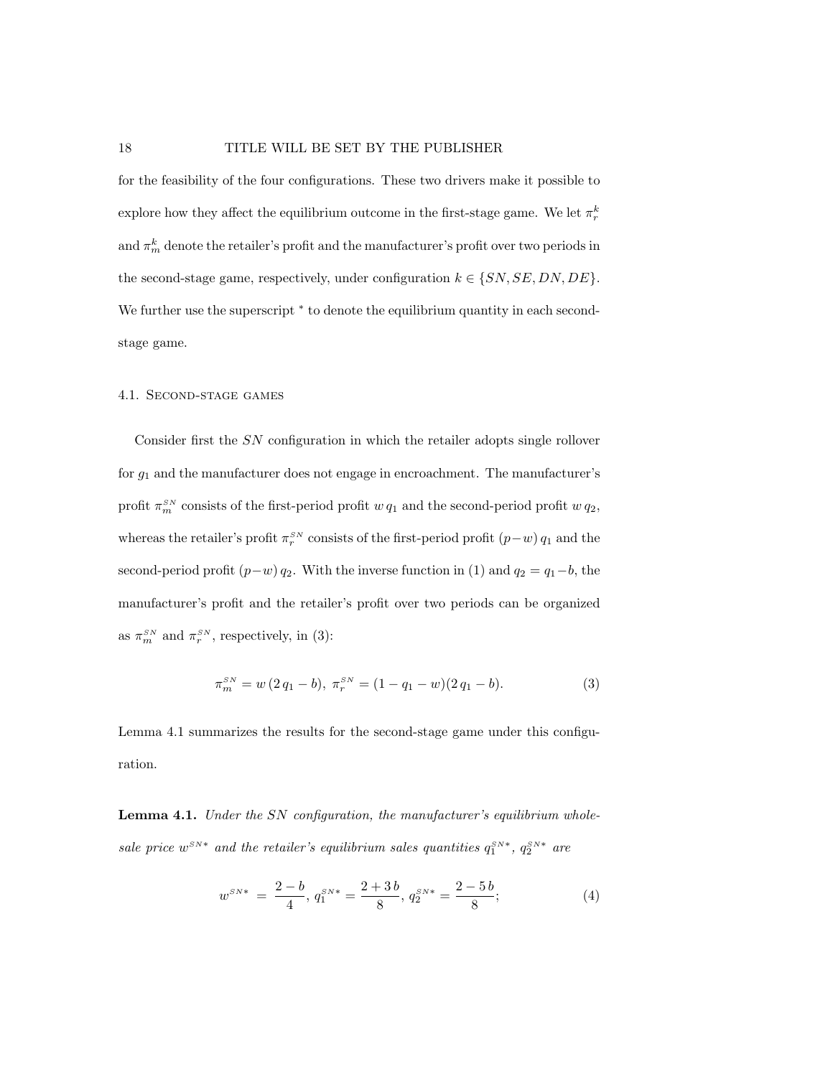for the feasibility of the four configurations. These two drivers make it possible to explore how they affect the equilibrium outcome in the first-stage game. We let  $\pi_r^k$ and  $\pi_m^k$  denote the retailer's profit and the manufacturer's profit over two periods in the second-stage game, respectively, under configuration  $k \in \{SN, SE, DN, DE\}$ . We further use the superscript  $*$  to denote the equilibrium quantity in each secondstage game.

#### 4.1. Second-stage games

Consider first the SN configuration in which the retailer adopts single rollover for  $g_1$  and the manufacturer does not engage in encroachment. The manufacturer's profit  $\pi_m^{SN}$  consists of the first-period profit  $w q_1$  and the second-period profit  $w q_2$ , whereas the retailer's profit  $\pi_r^{SN}$  consists of the first-period profit  $(p-w)$   $q_1$  and the second-period profit  $(p-w)$   $q_2$ . With the inverse function in (1) and  $q_2 = q_1 - b$ , the manufacturer's profit and the retailer's profit over two periods can be organized as  $\pi_m^{SN}$  and  $\pi_r^{SN}$ , respectively, in (3):

$$
\pi_m^{SN} = w(2q_1 - b), \ \pi_r^{SN} = (1 - q_1 - w)(2q_1 - b). \tag{3}
$$

Lemma 4.1 summarizes the results for the second-stage game under this configuration.

Lemma 4.1. Under the SN configuration, the manufacturer's equilibrium wholesale price  $w^{SN*}$  and the retailer's equilibrium sales quantities  $q_1^{SN*}$ ,  $q_2^{SN*}$  are

$$
w^{SN*} = \frac{2-b}{4}, q_1^{SN*} = \frac{2+3b}{8}, q_2^{SN*} = \frac{2-5b}{8};
$$
\n(4)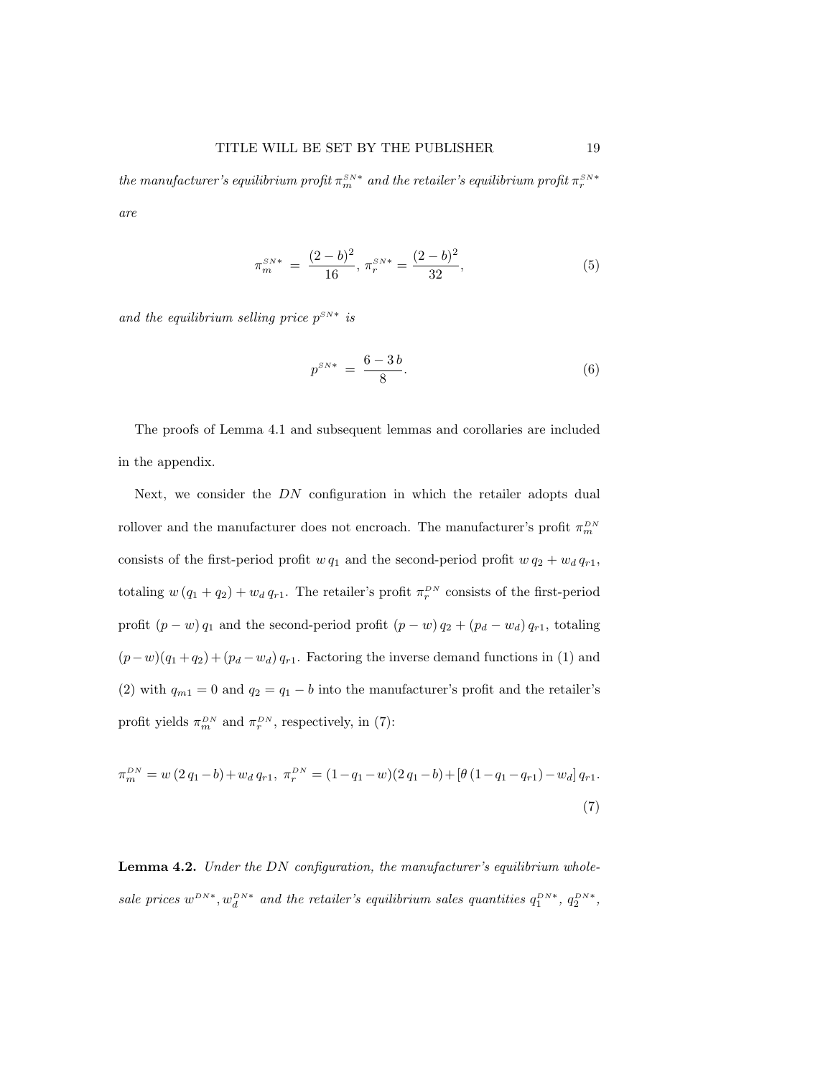the manufacturer's equilibrium profit  $\pi_m^{_{SN}*}$  and the retailer's equilibrium profit  $\pi_r^{_{SN}*}$ are

$$
\pi_m^{SN*} = \frac{(2-b)^2}{16}, \pi_r^{SN*} = \frac{(2-b)^2}{32},\tag{5}
$$

and the equilibrium selling price  $p^{SN*}$  is

$$
p^{SN*} = \frac{6-3b}{8}.
$$
 (6)

The proofs of Lemma 4.1 and subsequent lemmas and corollaries are included in the appendix.

Next, we consider the DN configuration in which the retailer adopts dual rollover and the manufacturer does not encroach. The manufacturer's profit  $\pi_m^{^{DN}}$ consists of the first-period profit  $w q_1$  and the second-period profit  $w q_2 + w_d q_{r1}$ , totaling  $w(q_1 + q_2) + w_d q_{r1}$ . The retailer's profit  $\pi_r^{DN}$  consists of the first-period profit  $(p - w) q_1$  and the second-period profit  $(p - w) q_2 + (p_d - w_d) q_{r1}$ , totaling  $(p-w)(q_1+q_2)+(p_d-w_d) q_{r1}$ . Factoring the inverse demand functions in (1) and (2) with  $q_{m1} = 0$  and  $q_2 = q_1 - b$  into the manufacturer's profit and the retailer's profit yields  $\pi_m^{DN}$  and  $\pi_r^{DN}$ , respectively, in (7):

$$
\pi_m^{DN} = w(2q_1 - b) + w_d q_{r1}, \ \pi_r^{DN} = (1 - q_1 - w)(2q_1 - b) + [\theta (1 - q_1 - q_{r1}) - w_d] q_{r1}.
$$
\n(7)

Lemma 4.2. Under the DN configuration, the manufacturer's equilibrium wholesale prices  $w^{DN*}$ ,  $w_d^{DN*}$  and the retailer's equilibrium sales quantities  $q_1^{DN*}$ ,  $q_2^{DN*}$ ,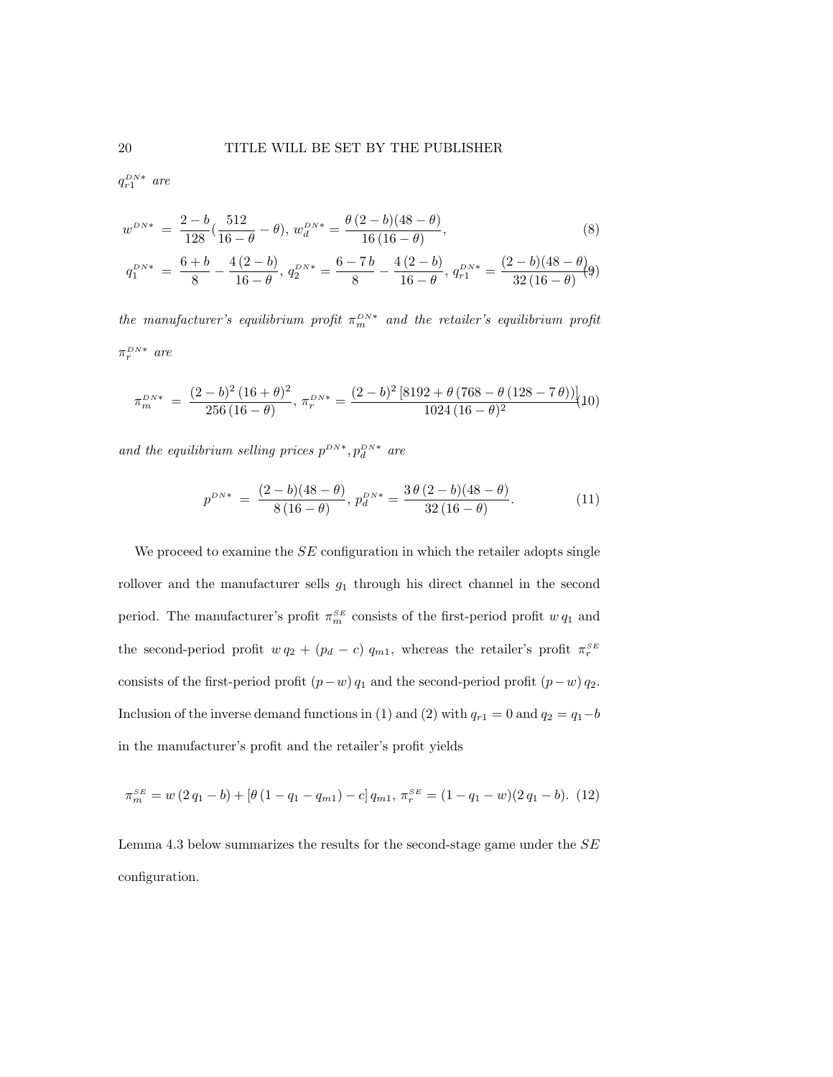$q_{r1}^{DN*}$  are

$$
w^{DN*} = \frac{2-b}{128} \left( \frac{512}{16 - \theta} - \theta \right), \, w_d^{DN*} = \frac{\theta (2-b)(48 - \theta)}{16(16 - \theta)},\tag{8}
$$

$$
q_1^{DN*} \ = \ \frac{6+b}{8} - \frac{4\,(2-b)}{16-\theta}, \ q_2^{DN*} = \frac{6-7\,b}{8} - \frac{4\,(2-b)}{16-\theta}, \ q_{r1}^{DN*} = \frac{(2-b)(48-\theta)}{32\,(16-\theta)} \tag{9}
$$

the manufacturer's equilibrium profit  $\pi_m^{DN*}$  and the retailer's equilibrium profit  $\pi_r^{DN*}$  are

$$
\pi_m^{DN*} \;=\; \frac{(2-b)^2\,(16+\theta)^2}{256\,(16-\theta)},\, \pi_r^{DN*} = \frac{(2-b)^2\,[8192+\theta\,(768-\theta\,(128-7\,\theta))]}{1024\,(16-\theta)^2}\!\big(\!10\big)
$$

and the equilibrium selling prices  $p^{DN*}$ ,  $p_d^{DN*}$  are

$$
p^{DN*} = \frac{(2-b)(48-\theta)}{8(16-\theta)}, p_d^{DN*} = \frac{3\theta(2-b)(48-\theta)}{32(16-\theta)}.
$$
 (11)

We proceed to examine the  $SE$  configuration in which the retailer adopts single rollover and the manufacturer sells  $g_1$  through his direct channel in the second period. The manufacturer's profit  $\pi_m^{SE}$  consists of the first-period profit  $w q_1$  and the second-period profit  $w q_2 + (p_d - c) q_{m1}$ , whereas the retailer's profit  $\pi_r^{SE}$ consists of the first-period profit  $(p-w) q_1$  and the second-period profit  $(p-w) q_2$ . Inclusion of the inverse demand functions in (1) and (2) with  $q_{r1} = 0$  and  $q_2 = q_1 - b$ in the manufacturer's profit and the retailer's profit yields

$$
\pi_m^{SE} = w(2q_1 - b) + [\theta(1 - q_1 - q_{m1}) - c] q_{m1}, \pi_r^{SE} = (1 - q_1 - w)(2q_1 - b). \tag{12}
$$

Lemma 4.3 below summarizes the results for the second-stage game under the SE configuration.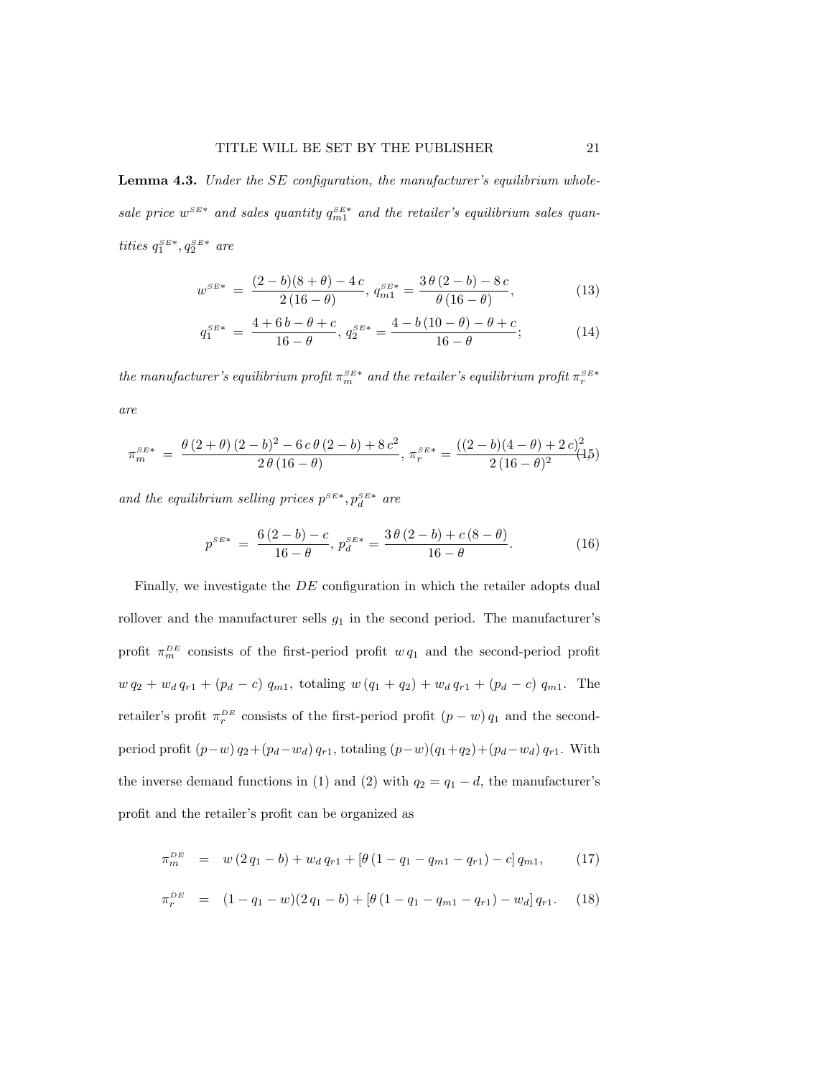Lemma 4.3. Under the SE configuration, the manufacturer's equilibrium wholesale price  $w^{SE*}$  and sales quantity  $q_{m1}^{SE*}$  and the retailer's equilibrium sales quantities  $q_1^{\scriptscriptstyle SE*},q_2^{\scriptscriptstyle SE*}$  are

$$
w^{SE*} = \frac{(2-b)(8+\theta) - 4c}{2(16-\theta)}, q_{m1}^{SE*} = \frac{3\theta(2-b) - 8c}{\theta(16-\theta)},
$$
\n(13)

$$
q_1^{SE*} = \frac{4 + 6b - \theta + c}{16 - \theta}, q_2^{SE*} = \frac{4 - b(10 - \theta) - \theta + c}{16 - \theta};
$$
 (14)

the manufacturer's equilibrium profit  $\pi_m^{SE*}$  and the retailer's equilibrium profit  $\pi_r^{SE*}$ are

$$
\pi_m^{SE*} = \frac{\theta(2+\theta)(2-b)^2 - 6c\theta(2-b) + 8c^2}{2\theta(16-\theta)}, \pi_r^{SE*} = \frac{((2-b)(4-\theta)+2c)^2}{2(16-\theta)^2}(15)
$$

and the equilibrium selling prices  $p^{SE*}$ ,  $p_d^{SE*}$  are

$$
p^{SE*} = \frac{6(2-b)-c}{16-\theta}, p_d^{SE*} = \frac{3\theta(2-b)+c(8-\theta)}{16-\theta}.
$$
 (16)

Finally, we investigate the DE configuration in which the retailer adopts dual rollover and the manufacturer sells  $g_1$  in the second period. The manufacturer's profit  $\pi_m^{DE}$  consists of the first-period profit  $w q_1$  and the second-period profit  $w q_2 + w_d q_{r1} + (p_d - c) q_{m1}$ , totaling  $w (q_1 + q_2) + w_d q_{r1} + (p_d - c) q_{m1}$ . The retailer's profit  $\pi_r^{DE}$  consists of the first-period profit  $(p - w) q_1$  and the secondperiod profit  $(p-w) q_2 + (p_d-w_d) q_{r1}$ , totaling  $(p-w)(q_1+q_2)+(p_d-w_d) q_{r1}$ . With the inverse demand functions in (1) and (2) with  $q_2 = q_1 - d$ , the manufacturer's profit and the retailer's profit can be organized as

$$
\pi_m^{DE} = w(2q_1 - b) + w_d q_{r1} + [\theta(1 - q_1 - q_{m1} - q_{r1}) - c] q_{m1}, \qquad (17)
$$

$$
\pi_r^{DE} = (1 - q_1 - w)(2 q_1 - b) + [\theta (1 - q_1 - q_{m1} - q_{r1}) - w_d] q_{r1}. \tag{18}
$$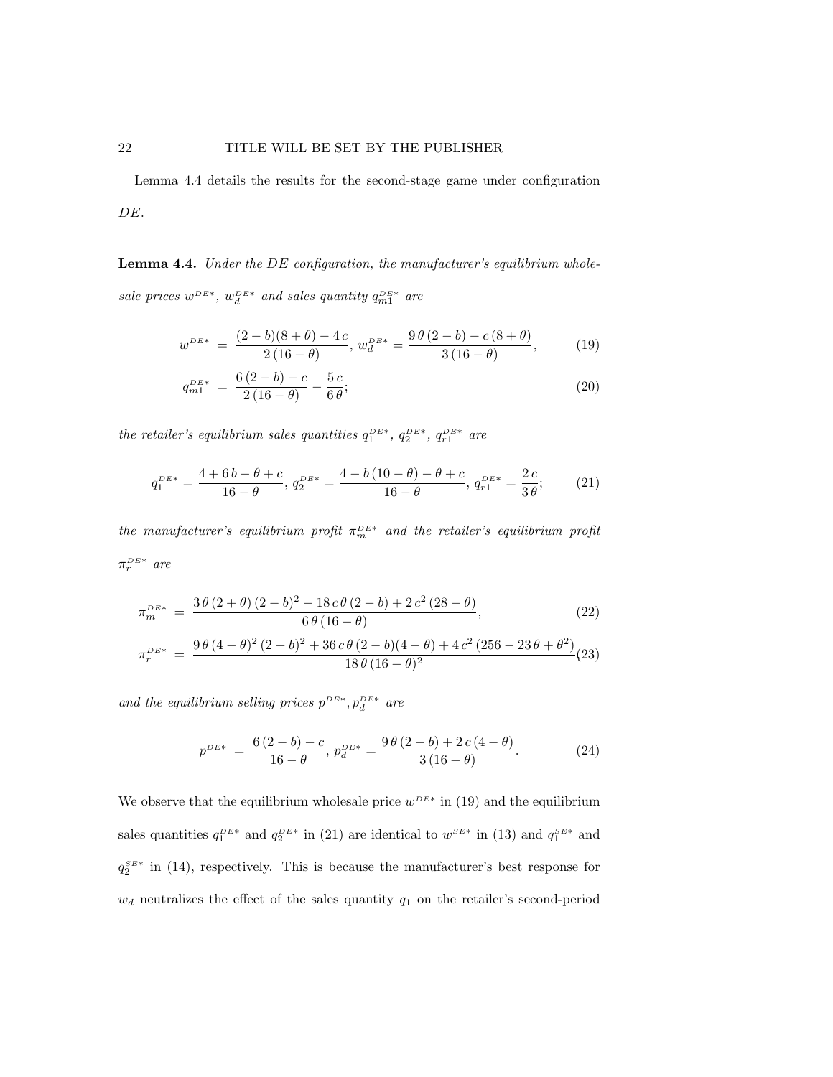Lemma 4.4 details the results for the second-stage game under configuration DE.

Lemma 4.4. Under the DE configuration, the manufacturer's equilibrium wholesale prices  $w^{DE*}$ ,  $w_d^{DE*}$  and sales quantity  $q_{m1}^{DE*}$  are

$$
w^{DE*} = \frac{(2-b)(8+\theta) - 4c}{2(16-\theta)}, \, w_d^{DE*} = \frac{9\theta(2-b) - c(8+\theta)}{3(16-\theta)},\tag{19}
$$

$$
q_{m1}^{DE*} = \frac{6(2-b)-c}{2(16-\theta)} - \frac{5c}{6\theta};
$$
\n(20)

the retailer's equilibrium sales quantities  $q_1^{DE*}$ ,  $q_2^{DE*}$ ,  $q_{r1}^{DE*}$  are

$$
q_1^{DE*} = \frac{4 + 6b - \theta + c}{16 - \theta}, \ q_2^{DE*} = \frac{4 - b(10 - \theta) - \theta + c}{16 - \theta}, \ q_{r1}^{DE*} = \frac{2c}{3\theta};\tag{21}
$$

the manufacturer's equilibrium profit  $\pi_m^{DE*}$  and the retailer's equilibrium profit  $\pi_r^{DE*}$  are

$$
\pi_m^{DE*} = \frac{3\,\theta\,(2+\theta)\,(2-b)^2 - 18\,c\,\theta\,(2-b) + 2\,c^2\,(28-\theta)}{6\,\theta\,(16-\theta)},\tag{22}
$$

$$
\pi_r^{DE*} = \frac{9 \theta (4 - \theta)^2 (2 - b)^2 + 36 c \theta (2 - b)(4 - \theta) + 4 c^2 (256 - 23 \theta + \theta^2)}{18 \theta (16 - \theta)^2} (23)
$$

and the equilibrium selling prices  $p^{DE*}$ ,  $p_d^{DE*}$  are

$$
p^{DE*} = \frac{6(2-b)-c}{16-\theta}, p_d^{DE*} = \frac{9\theta(2-b)+2c(4-\theta)}{3(16-\theta)}.
$$
 (24)

We observe that the equilibrium wholesale price  $w^{DE*}$  in (19) and the equilibrium sales quantities  $q_1^{DE*}$  and  $q_2^{DE*}$  in (21) are identical to  $w^{SE*}$  in (13) and  $q_1^{SE*}$  and  $q_2^{SE*}$  in (14), respectively. This is because the manufacturer's best response for  $w_d$  neutralizes the effect of the sales quantity  $q_1$  on the retailer's second-period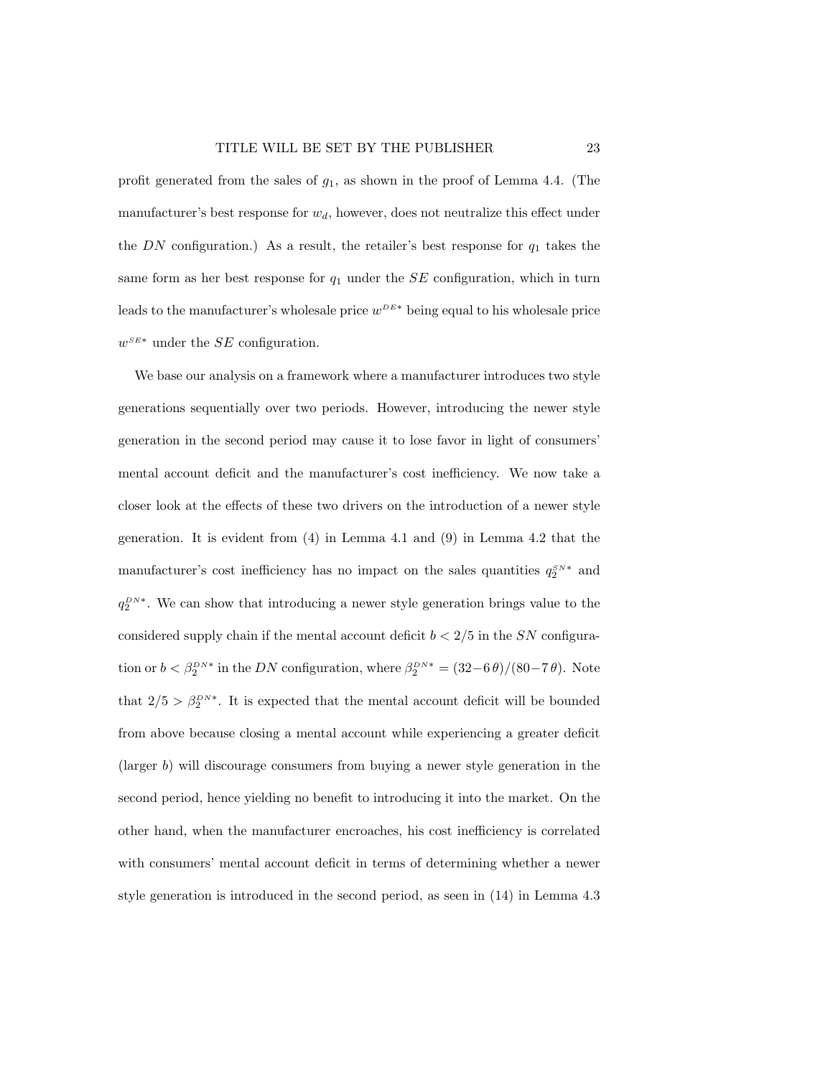profit generated from the sales of  $g_1$ , as shown in the proof of Lemma 4.4. (The manufacturer's best response for  $w_d$ , however, does not neutralize this effect under the  $DN$  configuration.) As a result, the retailer's best response for  $q_1$  takes the same form as her best response for  $q_1$  under the  $SE$  configuration, which in turn leads to the manufacturer's wholesale price  $w^{DE*}$  being equal to his wholesale price  $w^{SE*}$  under the SE configuration.

We base our analysis on a framework where a manufacturer introduces two style generations sequentially over two periods. However, introducing the newer style generation in the second period may cause it to lose favor in light of consumers' mental account deficit and the manufacturer's cost inefficiency. We now take a closer look at the effects of these two drivers on the introduction of a newer style generation. It is evident from (4) in Lemma 4.1 and (9) in Lemma 4.2 that the manufacturer's cost inefficiency has no impact on the sales quantities  $q_2^{SN*}$  and  $q_2^{DN*}$ . We can show that introducing a newer style generation brings value to the considered supply chain if the mental account deficit  $b < 2/5$  in the SN configuration or  $b < \beta_2^{DN*}$  in the DN configuration, where  $\beta_2^{DN*} = (32-6\theta)/(80-7\theta)$ . Note that  $2/5 > \beta_2^{DN*}$ . It is expected that the mental account deficit will be bounded from above because closing a mental account while experiencing a greater deficit (larger b) will discourage consumers from buying a newer style generation in the second period, hence yielding no benefit to introducing it into the market. On the other hand, when the manufacturer encroaches, his cost inefficiency is correlated with consumers' mental account deficit in terms of determining whether a newer style generation is introduced in the second period, as seen in (14) in Lemma 4.3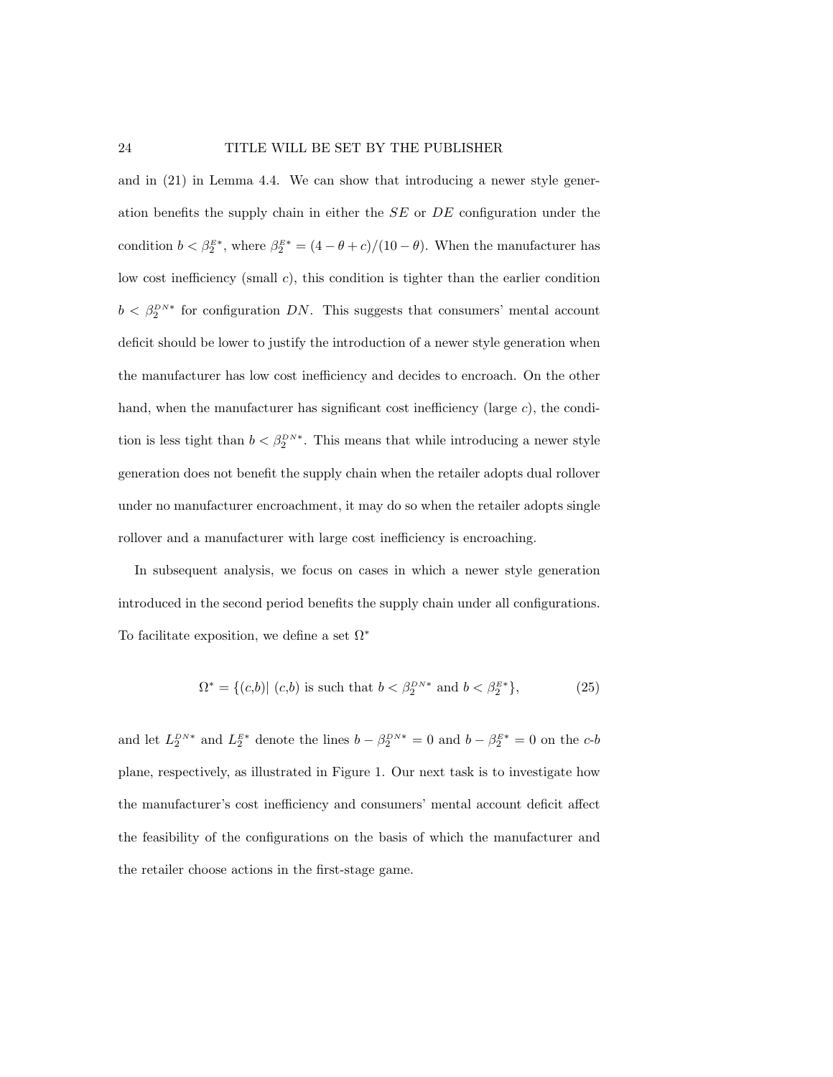and in (21) in Lemma 4.4. We can show that introducing a newer style generation benefits the supply chain in either the SE or DE configuration under the condition  $b < \beta_2^{E^*}$ , where  $\beta_2^{E^*} = (4 - \theta + c)/(10 - \theta)$ . When the manufacturer has low cost inefficiency (small c), this condition is tighter than the earlier condition  $b < \beta_2^{DN*}$  for configuration DN. This suggests that consumers' mental account deficit should be lower to justify the introduction of a newer style generation when the manufacturer has low cost inefficiency and decides to encroach. On the other hand, when the manufacturer has significant cost inefficiency (large  $c$ ), the condition is less tight than  $b < \beta_2^{DN*}$ . This means that while introducing a newer style generation does not benefit the supply chain when the retailer adopts dual rollover under no manufacturer encroachment, it may do so when the retailer adopts single rollover and a manufacturer with large cost inefficiency is encroaching.

In subsequent analysis, we focus on cases in which a newer style generation introduced in the second period benefits the supply chain under all configurations. To facilitate exposition, we define a set  $\Omega^*$ 

$$
\Omega^* = \{(c, b) | (c, b) \text{ is such that } b < \beta_2^{DN^*} \text{ and } b < \beta_2^{E^*} \},\tag{25}
$$

and let  $L_2^{DN*}$  and  $L_2^{E*}$  denote the lines  $b - \beta_2^{DN*} = 0$  and  $b - \beta_2^{E*} = 0$  on the c-b plane, respectively, as illustrated in Figure 1. Our next task is to investigate how the manufacturer's cost inefficiency and consumers' mental account deficit affect the feasibility of the configurations on the basis of which the manufacturer and the retailer choose actions in the first-stage game.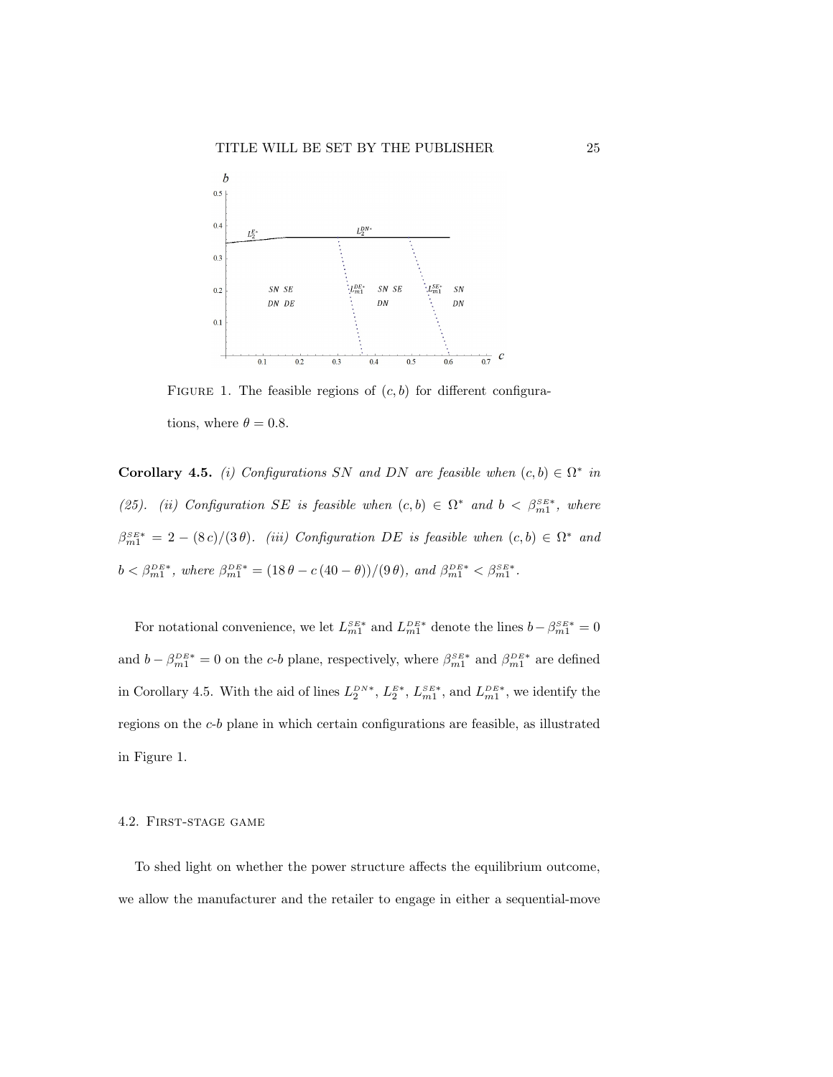

FIGURE 1. The feasible regions of  $(c, b)$  for different configurations, where  $\theta = 0.8$ .

**Corollary 4.5.** (i) Configurations SN and DN are feasible when  $(c, b) \in \Omega^*$  in (25). (ii) Configuration SE is feasible when  $(c, b) \in \Omega^*$  and  $b < \beta_{m1}^{SE*}$ , where  $\beta_{m1}^{SE*} = 2 - (8c)/(3\theta)$ . (iii) Configuration DE is feasible when  $(c, b) \in \Omega^*$  and  $b < \beta_{m1}^{DE*}$ , where  $\beta_{m1}^{DE*} = (18 \theta - c(40 - \theta))/(9 \theta)$ , and  $\beta_{m1}^{DE*} < \beta_{m1}^{SE*}$ .

For notational convenience, we let  $L_{m1}^{SE*}$  and  $L_{m1}^{DE*}$  denote the lines  $b - \beta_{m1}^{SE*} = 0$ and  $b - \beta_{m1}^{DE*} = 0$  on the c-b plane, respectively, where  $\beta_{m1}^{SE*}$  and  $\beta_{m1}^{DE*}$  are defined in Corollary 4.5. With the aid of lines  $L_2^{DN*}$ ,  $L_2^{E*}$ ,  $L_{m1}^{SE*}$ , and  $L_{m1}^{DE*}$ , we identify the regions on the c-b plane in which certain configurations are feasible, as illustrated in Figure 1.

#### 4.2. First-stage game

To shed light on whether the power structure affects the equilibrium outcome, we allow the manufacturer and the retailer to engage in either a sequential-move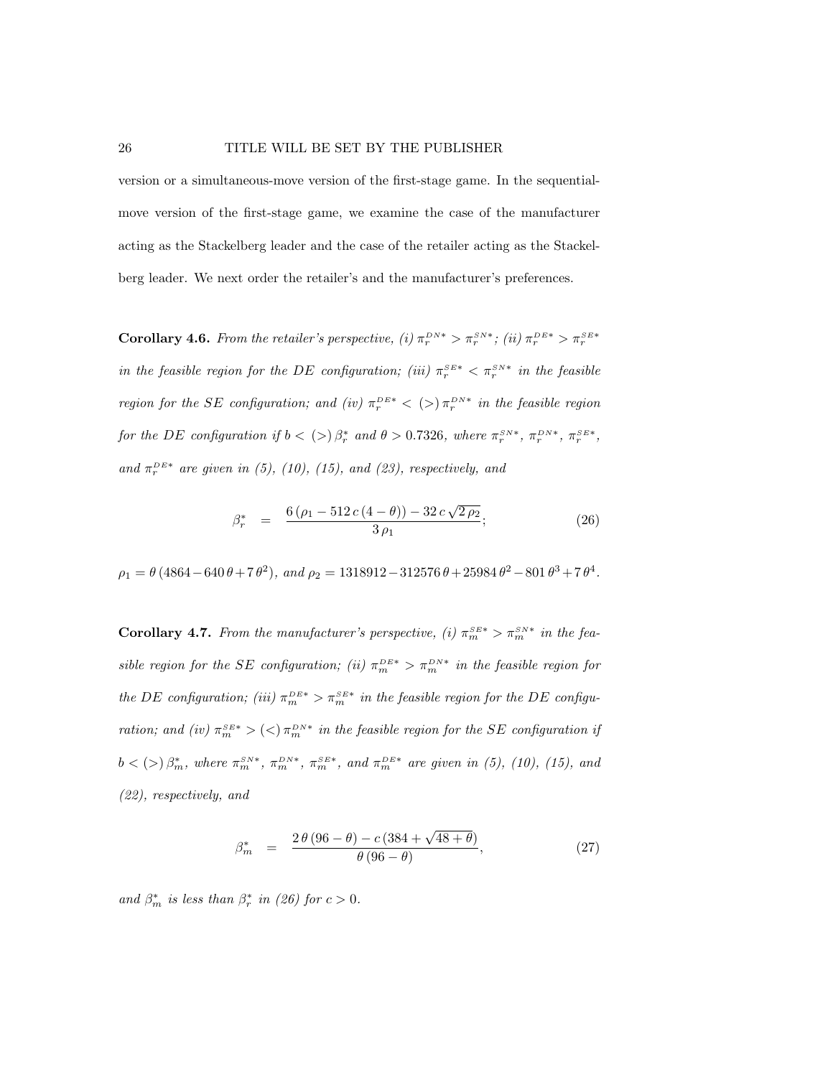version or a simultaneous-move version of the first-stage game. In the sequentialmove version of the first-stage game, we examine the case of the manufacturer acting as the Stackelberg leader and the case of the retailer acting as the Stackelberg leader. We next order the retailer's and the manufacturer's preferences.

**Corollary 4.6.** From the retailer's perspective, (i)  $\pi_r^{DN*} > \pi_r^{SN*}$ ; (ii)  $\pi_r^{DE*} > \pi_r^{SE*}$ in the feasible region for the DE configuration; (iii)  $\pi_r^{S E*} < \pi_r^{S N*}$  in the feasible region for the SE configuration; and (iv)  $\pi_r^{DE*} < (>) \pi_r^{DN*}$  in the feasible region for the DE configuration if  $b < (>) \beta_r^*$  and  $\theta > 0.7326$ , where  $\pi_r^{SN*}$ ,  $\pi_r^{DN*}$ ,  $\pi_r^{SE*}$ , and  $\pi_r^{DE*}$  are given in (5), (10), (15), and (23), respectively, and

$$
\beta_r^* = \frac{6(\rho_1 - 512c(4-\theta)) - 32c\sqrt{2\rho_2}}{3\rho_1};
$$
\n(26)

 $\rho_1 = \theta (4864 - 640 \theta + 7 \theta^2), \text{ and } \rho_2 = 1318912 - 312576 \theta + 25984 \theta^2 - 801 \theta^3 + 7 \theta^4.$ 

**Corollary 4.7.** From the manufacturer's perspective, (i)  $\pi_m^{SE*} > \pi_m^{SN*}$  in the feasible region for the SE configuration; (ii)  $\pi_m^{DE*} > \pi_m^{DN*}$  in the feasible region for the DE configuration; (iii)  $\pi_m^{DE*} > \pi_m^{SE*}$  in the feasible region for the DE configuration; and (iv)  $\pi_m^{SE*}$  > (<)  $\pi_m^{DN*}$  in the feasible region for the SE configuration if  $b \lt (>) \beta_m^*$ , where  $\pi_m^{SN*}$ ,  $\pi_m^{DN*}$ ,  $\pi_m^{SE*}$ , and  $\pi_m^{DE*}$  are given in (5), (10), (15), and (22), respectively, and

$$
\beta_m^* = \frac{2 \theta (96 - \theta) - c (384 + \sqrt{48 + \theta})}{\theta (96 - \theta)},
$$
\n(27)

and  $\beta_m^*$  is less than  $\beta_r^*$  in (26) for  $c > 0$ .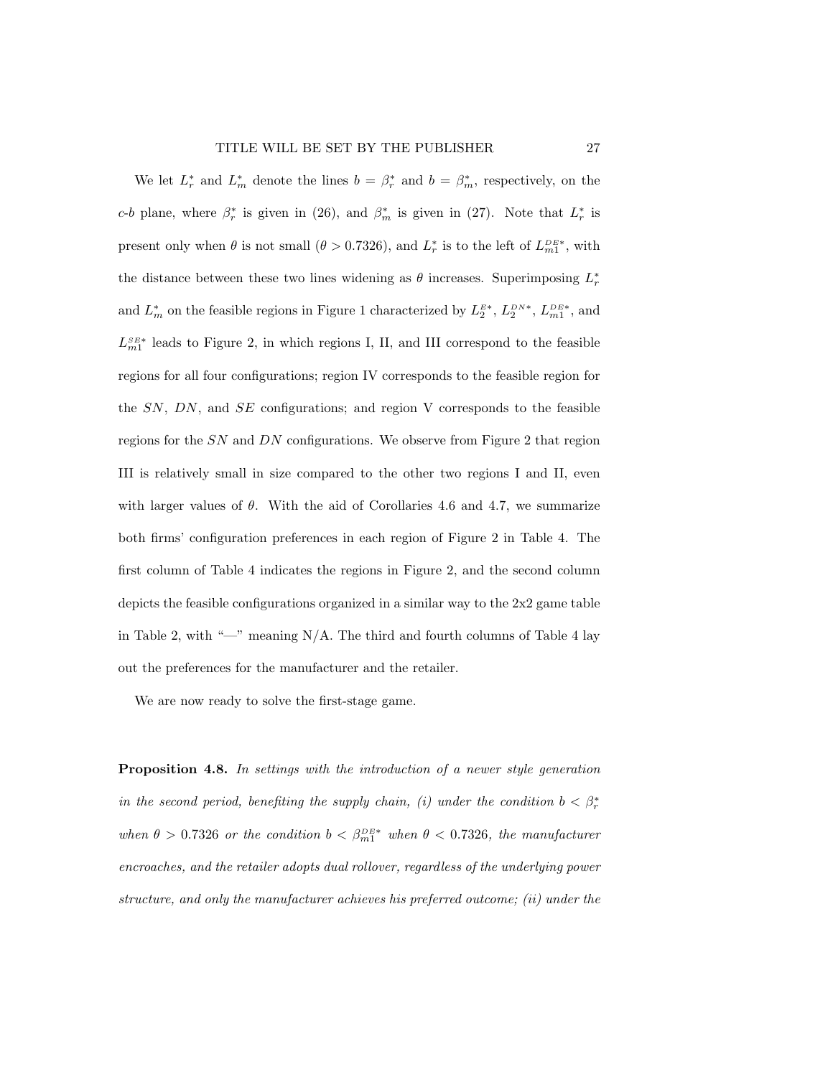#### TITLE WILL BE SET BY THE PUBLISHER 27

We let  $L_r^*$  and  $L_m^*$  denote the lines  $b = \beta_r^*$  and  $b = \beta_m^*$ , respectively, on the c-b plane, where  $\beta_r^*$  is given in (26), and  $\beta_m^*$  is given in (27). Note that  $L_r^*$  is present only when  $\theta$  is not small  $(\theta > 0.7326)$ , and  $L_r^*$  is to the left of  $L_{m_1}^{_{DE*}}$ , with the distance between these two lines widening as  $\theta$  increases. Superimposing  $L_r^*$ and  $L_m^*$  on the feasible regions in Figure 1 characterized by  $L_2^{E*}$ ,  $L_2^{DN*}$ ,  $L_{m1}^{DE*}$ , and  $L_{m1}^{SE*}$  leads to Figure 2, in which regions I, II, and III correspond to the feasible regions for all four configurations; region IV corresponds to the feasible region for the  $SN$ ,  $DN$ , and  $SE$  configurations; and region V corresponds to the feasible regions for the SN and DN configurations. We observe from Figure 2 that region III is relatively small in size compared to the other two regions I and II, even with larger values of  $\theta$ . With the aid of Corollaries 4.6 and 4.7, we summarize both firms' configuration preferences in each region of Figure 2 in Table 4. The first column of Table 4 indicates the regions in Figure 2, and the second column depicts the feasible configurations organized in a similar way to the 2x2 game table in Table 2, with "—" meaning  $N/A$ . The third and fourth columns of Table 4 lay out the preferences for the manufacturer and the retailer.

We are now ready to solve the first-stage game.

Proposition 4.8. In settings with the introduction of a newer style generation in the second period, benefiting the supply chain, (i) under the condition  $b < \beta_r^*$ when  $\theta > 0.7326$  or the condition  $b < \beta_{m1}^{DE*}$  when  $\theta < 0.7326$ , the manufacturer encroaches, and the retailer adopts dual rollover, regardless of the underlying power structure, and only the manufacturer achieves his preferred outcome; (ii) under the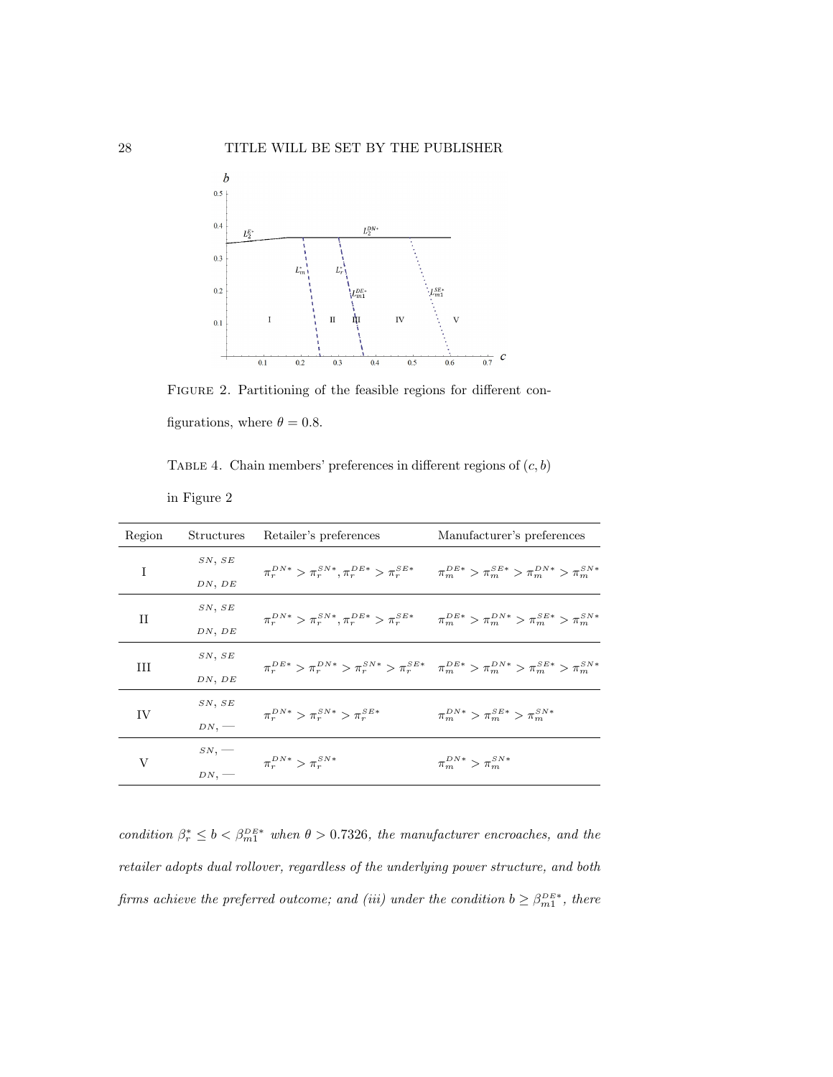

Figure 2. Partitioning of the feasible regions for different configurations, where  $\theta = 0.8$ .

TABLE 4. Chain members' preferences in different regions of  $(c, b)$ 

in Figure 2

| Region | Structures | Retailer's preferences                                                                                         | Manufacturer's preferences                                                                                      |  |
|--------|------------|----------------------------------------------------------------------------------------------------------------|-----------------------------------------------------------------------------------------------------------------|--|
| I      | SN, SE     |                                                                                                                |                                                                                                                 |  |
|        | DN, DE     | $\pi_r^{DN*} > \pi_r^{SN*}, \pi_r^{DE*} > \pi_r^{SE*}$ $\pi_m^{DE*} > \pi_m^{SE*} > \pi_m^{DN*} > \pi_m^{SN*}$ |                                                                                                                 |  |
| П      | SN, SE     | $\pi_r^{DN*} > \pi_r^{SN*}, \pi_r^{DE*} > \pi_r^{SE*}$ $\pi_m^{DE*} > \pi_m^{DN*} > \pi_m^{SE*} > \pi_m^{SN*}$ |                                                                                                                 |  |
|        | DN, DE     |                                                                                                                |                                                                                                                 |  |
| Ш      | SN, SE     |                                                                                                                | $\pi_r^{DE*} > \pi_r^{DN*} > \pi_r^{SN*} > \pi_r^{SE*}$ $\pi_m^{DE*} > \pi_m^{DN*} > \pi_m^{SE*} > \pi_m^{SN*}$ |  |
|        | DN, DE     |                                                                                                                |                                                                                                                 |  |
| IV     | SN, SE     |                                                                                                                | $\pi_m^{DN*} > \pi_m^{SE*} > \pi_m^{SN*}$                                                                       |  |
|        | $DN,$ —    | $\pi_r^{DN*} > \pi_r^{SN*} > \pi_r^{SE*}$                                                                      |                                                                                                                 |  |
| V      | $_{SN,}$ — | $\pi_r^{DN*} > \pi_r^{SN*}$                                                                                    | $\pi_m^{DN*} > \pi_m^{SN*}$                                                                                     |  |
|        | DN,        |                                                                                                                |                                                                                                                 |  |

condition  $\beta_r^* \leq b < \beta_{m1}^{DE*}$  when  $\theta > 0.7326$ , the manufacturer encroaches, and the retailer adopts dual rollover, regardless of the underlying power structure, and both firms achieve the preferred outcome; and (iii) under the condition  $b \geq \beta_{m1}^{DE*}$ , there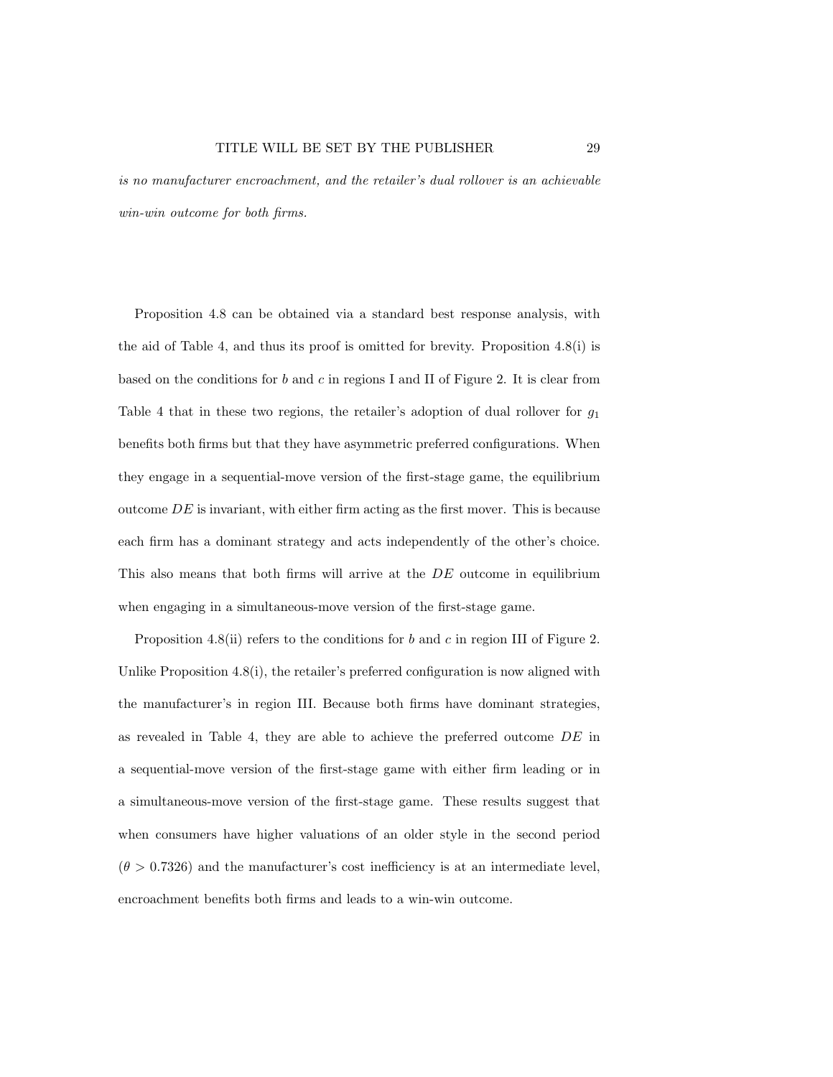is no manufacturer encroachment, and the retailer's dual rollover is an achievable win-win outcome for both firms.

Proposition 4.8 can be obtained via a standard best response analysis, with the aid of Table 4, and thus its proof is omitted for brevity. Proposition 4.8(i) is based on the conditions for  $b$  and  $c$  in regions I and II of Figure 2. It is clear from Table 4 that in these two regions, the retailer's adoption of dual rollover for  $g_1$ benefits both firms but that they have asymmetric preferred configurations. When they engage in a sequential-move version of the first-stage game, the equilibrium outcome  $DE$  is invariant, with either firm acting as the first mover. This is because each firm has a dominant strategy and acts independently of the other's choice. This also means that both firms will arrive at the DE outcome in equilibrium when engaging in a simultaneous-move version of the first-stage game.

Proposition 4.8(ii) refers to the conditions for b and c in region III of Figure 2. Unlike Proposition 4.8(i), the retailer's preferred configuration is now aligned with the manufacturer's in region III. Because both firms have dominant strategies, as revealed in Table 4, they are able to achieve the preferred outcome DE in a sequential-move version of the first-stage game with either firm leading or in a simultaneous-move version of the first-stage game. These results suggest that when consumers have higher valuations of an older style in the second period  $(\theta > 0.7326)$  and the manufacturer's cost inefficiency is at an intermediate level, encroachment benefits both firms and leads to a win-win outcome.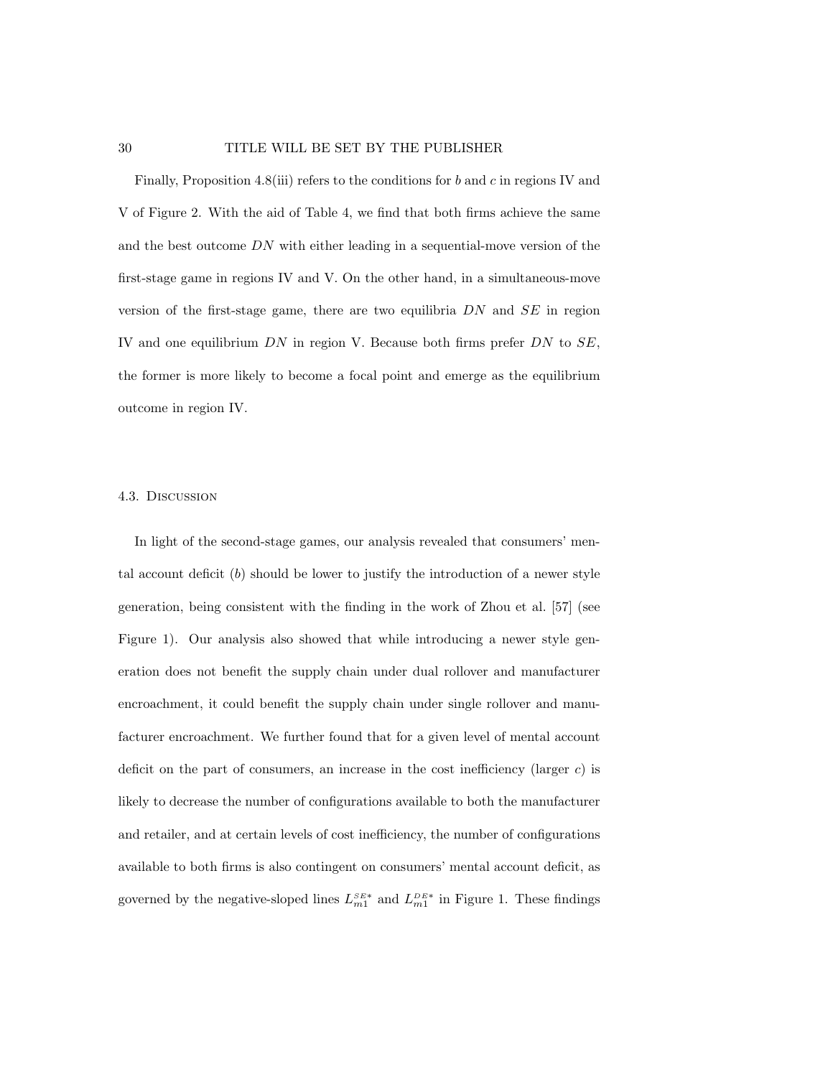#### 30 TITLE WILL BE SET BY THE PUBLISHER

Finally, Proposition 4.8(iii) refers to the conditions for  $b$  and  $c$  in regions IV and V of Figure 2. With the aid of Table 4, we find that both firms achieve the same and the best outcome DN with either leading in a sequential-move version of the first-stage game in regions IV and V. On the other hand, in a simultaneous-move version of the first-stage game, there are two equilibria  $DN$  and  $SE$  in region IV and one equilibrium  $DN$  in region V. Because both firms prefer  $DN$  to  $SE$ , the former is more likely to become a focal point and emerge as the equilibrium outcome in region IV.

#### 4.3. Discussion

In light of the second-stage games, our analysis revealed that consumers' mental account deficit  $(b)$  should be lower to justify the introduction of a newer style generation, being consistent with the finding in the work of Zhou et al. [57] (see Figure 1). Our analysis also showed that while introducing a newer style generation does not benefit the supply chain under dual rollover and manufacturer encroachment, it could benefit the supply chain under single rollover and manufacturer encroachment. We further found that for a given level of mental account deficit on the part of consumers, an increase in the cost inefficiency (larger  $c$ ) is likely to decrease the number of configurations available to both the manufacturer and retailer, and at certain levels of cost inefficiency, the number of configurations available to both firms is also contingent on consumers' mental account deficit, as governed by the negative-sloped lines  $L_{m1}^{SE*}$  and  $L_{m1}^{DE*}$  in Figure 1. These findings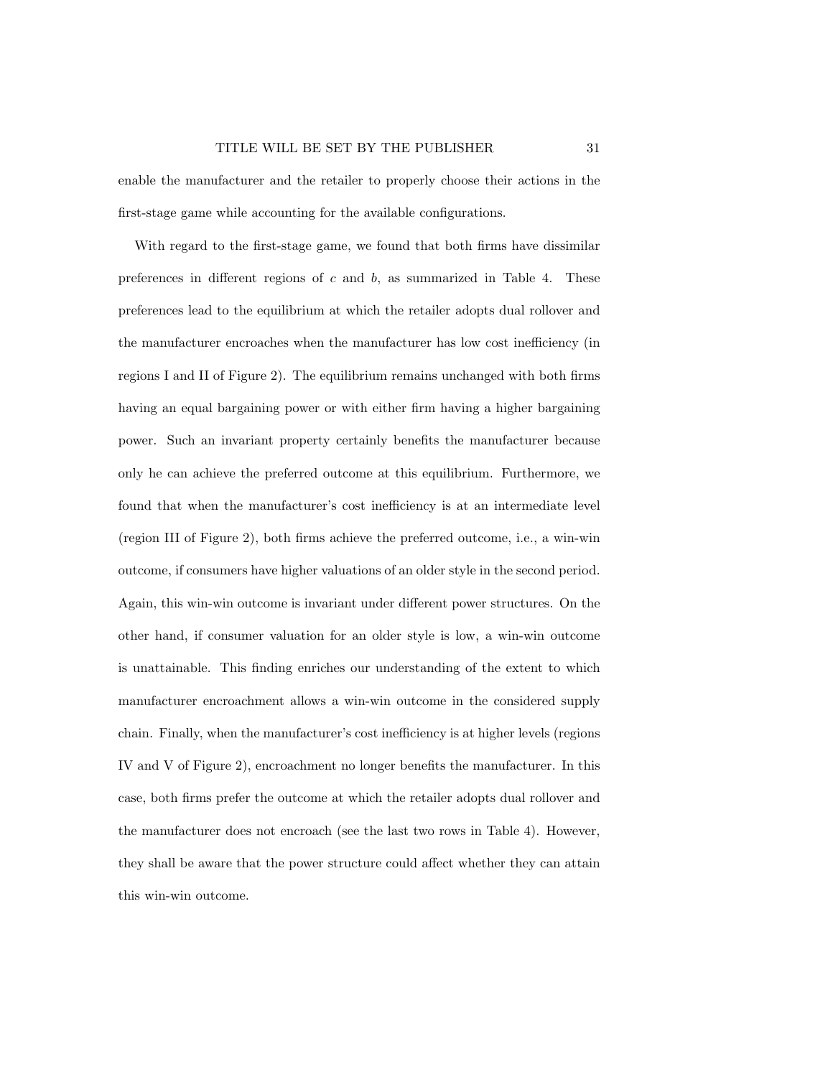enable the manufacturer and the retailer to properly choose their actions in the first-stage game while accounting for the available configurations.

With regard to the first-stage game, we found that both firms have dissimilar preferences in different regions of  $c$  and  $b$ , as summarized in Table 4. These preferences lead to the equilibrium at which the retailer adopts dual rollover and the manufacturer encroaches when the manufacturer has low cost inefficiency (in regions I and II of Figure 2). The equilibrium remains unchanged with both firms having an equal bargaining power or with either firm having a higher bargaining power. Such an invariant property certainly benefits the manufacturer because only he can achieve the preferred outcome at this equilibrium. Furthermore, we found that when the manufacturer's cost inefficiency is at an intermediate level (region III of Figure 2), both firms achieve the preferred outcome, i.e., a win-win outcome, if consumers have higher valuations of an older style in the second period. Again, this win-win outcome is invariant under different power structures. On the other hand, if consumer valuation for an older style is low, a win-win outcome is unattainable. This finding enriches our understanding of the extent to which manufacturer encroachment allows a win-win outcome in the considered supply chain. Finally, when the manufacturer's cost inefficiency is at higher levels (regions IV and V of Figure 2), encroachment no longer benefits the manufacturer. In this case, both firms prefer the outcome at which the retailer adopts dual rollover and the manufacturer does not encroach (see the last two rows in Table 4). However, they shall be aware that the power structure could affect whether they can attain this win-win outcome.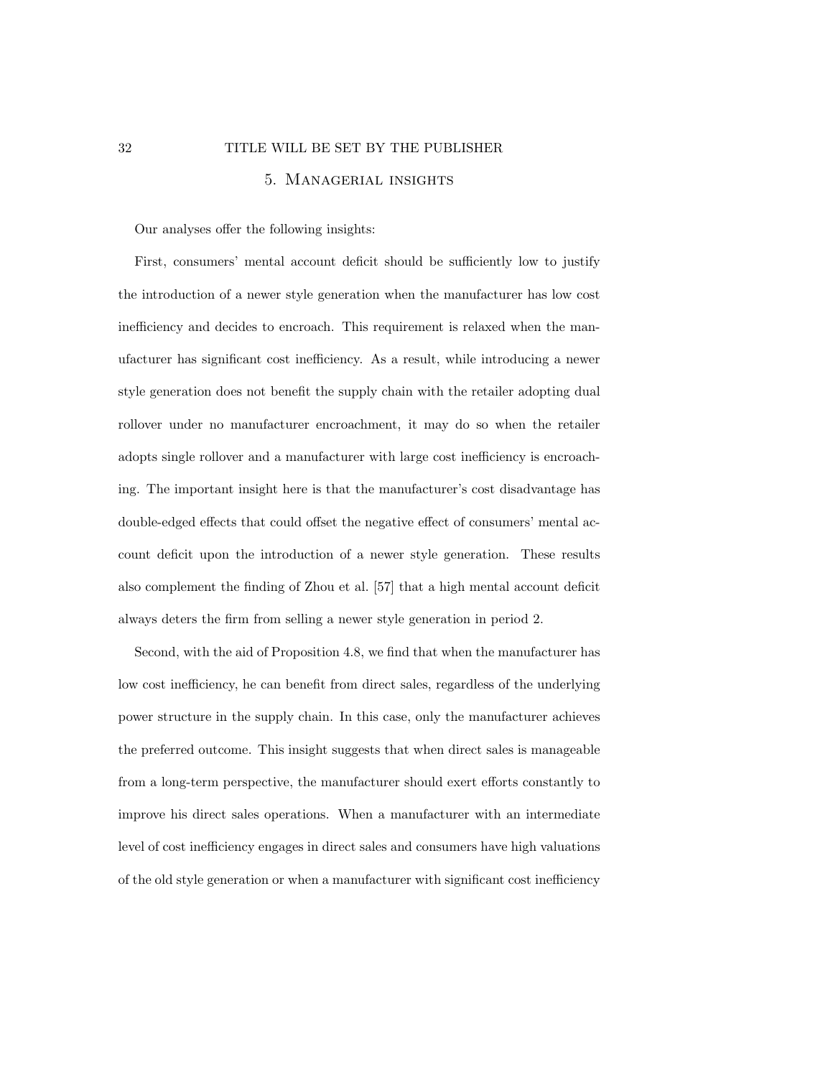## 32 TITLE WILL BE SET BY THE PUBLISHER 5. Managerial insights

Our analyses offer the following insights:

First, consumers' mental account deficit should be sufficiently low to justify the introduction of a newer style generation when the manufacturer has low cost inefficiency and decides to encroach. This requirement is relaxed when the manufacturer has significant cost inefficiency. As a result, while introducing a newer style generation does not benefit the supply chain with the retailer adopting dual rollover under no manufacturer encroachment, it may do so when the retailer adopts single rollover and a manufacturer with large cost inefficiency is encroaching. The important insight here is that the manufacturer's cost disadvantage has double-edged effects that could offset the negative effect of consumers' mental account deficit upon the introduction of a newer style generation. These results also complement the finding of Zhou et al. [57] that a high mental account deficit always deters the firm from selling a newer style generation in period 2.

Second, with the aid of Proposition 4.8, we find that when the manufacturer has low cost inefficiency, he can benefit from direct sales, regardless of the underlying power structure in the supply chain. In this case, only the manufacturer achieves the preferred outcome. This insight suggests that when direct sales is manageable from a long-term perspective, the manufacturer should exert efforts constantly to improve his direct sales operations. When a manufacturer with an intermediate level of cost inefficiency engages in direct sales and consumers have high valuations of the old style generation or when a manufacturer with significant cost inefficiency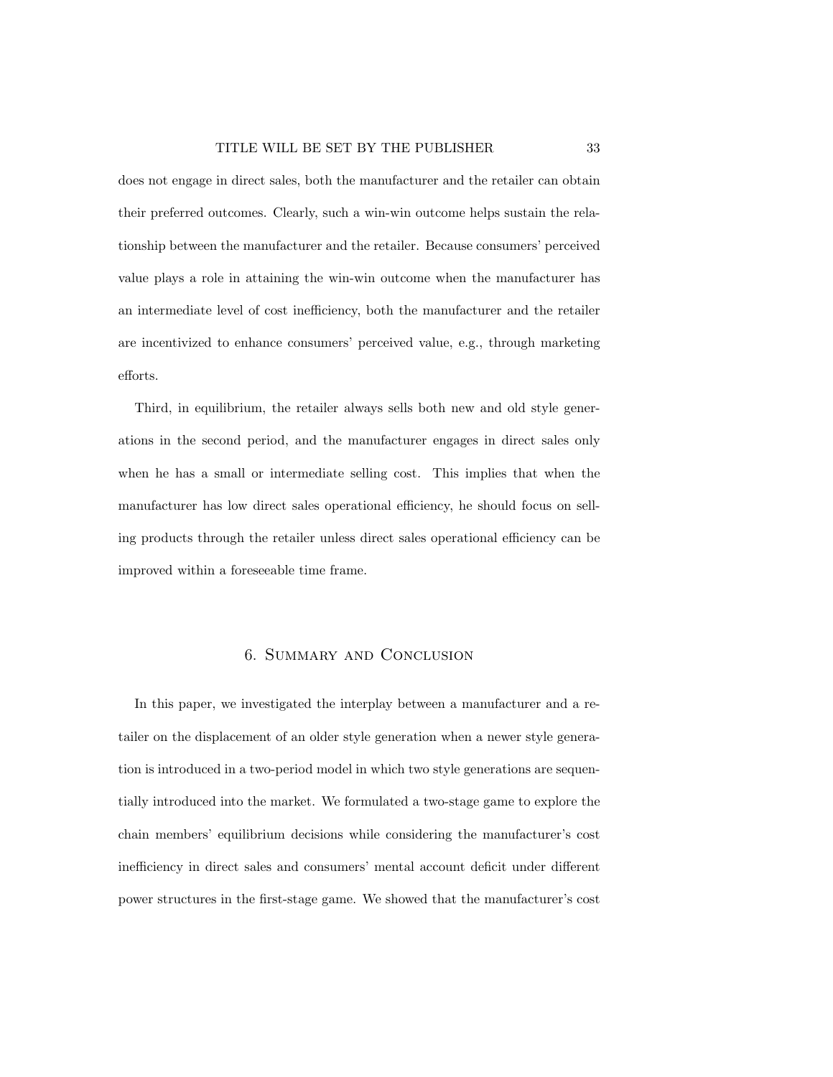does not engage in direct sales, both the manufacturer and the retailer can obtain their preferred outcomes. Clearly, such a win-win outcome helps sustain the relationship between the manufacturer and the retailer. Because consumers' perceived value plays a role in attaining the win-win outcome when the manufacturer has an intermediate level of cost inefficiency, both the manufacturer and the retailer are incentivized to enhance consumers' perceived value, e.g., through marketing efforts.

Third, in equilibrium, the retailer always sells both new and old style generations in the second period, and the manufacturer engages in direct sales only when he has a small or intermediate selling cost. This implies that when the manufacturer has low direct sales operational efficiency, he should focus on selling products through the retailer unless direct sales operational efficiency can be improved within a foreseeable time frame.

## 6. Summary and Conclusion

In this paper, we investigated the interplay between a manufacturer and a retailer on the displacement of an older style generation when a newer style generation is introduced in a two-period model in which two style generations are sequentially introduced into the market. We formulated a two-stage game to explore the chain members' equilibrium decisions while considering the manufacturer's cost inefficiency in direct sales and consumers' mental account deficit under different power structures in the first-stage game. We showed that the manufacturer's cost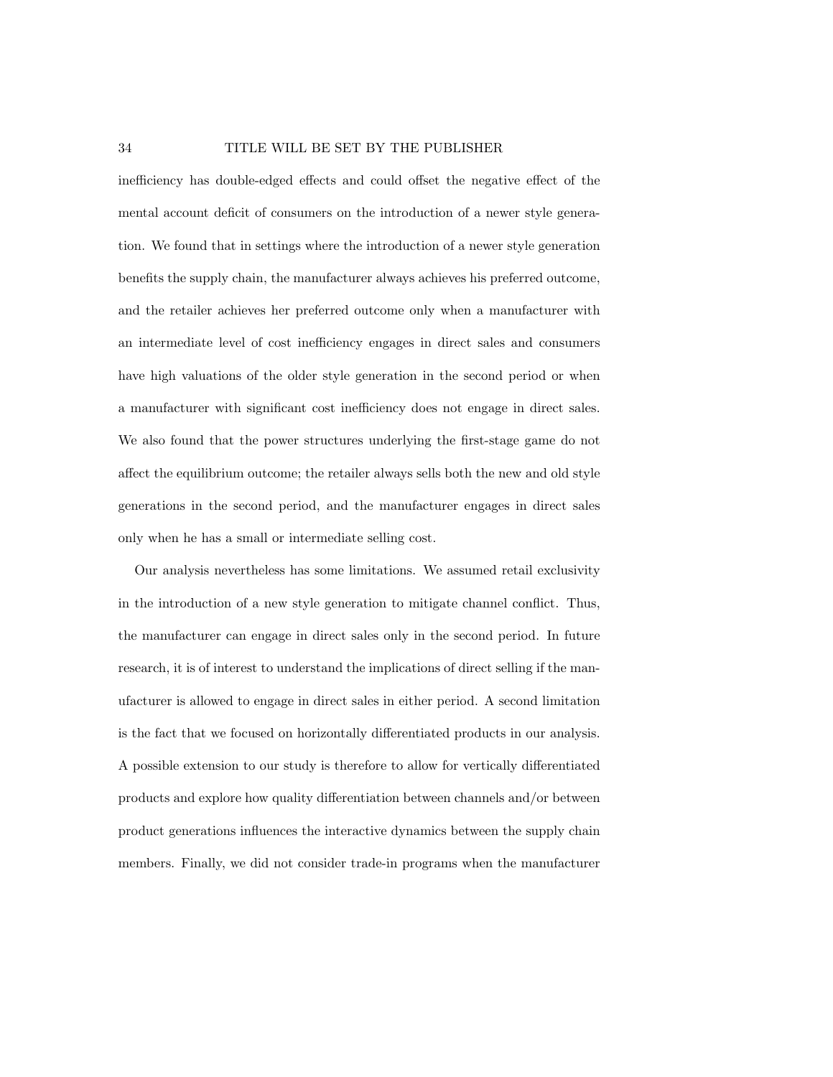#### 34 TITLE WILL BE SET BY THE PUBLISHER

inefficiency has double-edged effects and could offset the negative effect of the mental account deficit of consumers on the introduction of a newer style generation. We found that in settings where the introduction of a newer style generation benefits the supply chain, the manufacturer always achieves his preferred outcome, and the retailer achieves her preferred outcome only when a manufacturer with an intermediate level of cost inefficiency engages in direct sales and consumers have high valuations of the older style generation in the second period or when a manufacturer with significant cost inefficiency does not engage in direct sales. We also found that the power structures underlying the first-stage game do not affect the equilibrium outcome; the retailer always sells both the new and old style generations in the second period, and the manufacturer engages in direct sales only when he has a small or intermediate selling cost.

Our analysis nevertheless has some limitations. We assumed retail exclusivity in the introduction of a new style generation to mitigate channel conflict. Thus, the manufacturer can engage in direct sales only in the second period. In future research, it is of interest to understand the implications of direct selling if the manufacturer is allowed to engage in direct sales in either period. A second limitation is the fact that we focused on horizontally differentiated products in our analysis. A possible extension to our study is therefore to allow for vertically differentiated products and explore how quality differentiation between channels and/or between product generations influences the interactive dynamics between the supply chain members. Finally, we did not consider trade-in programs when the manufacturer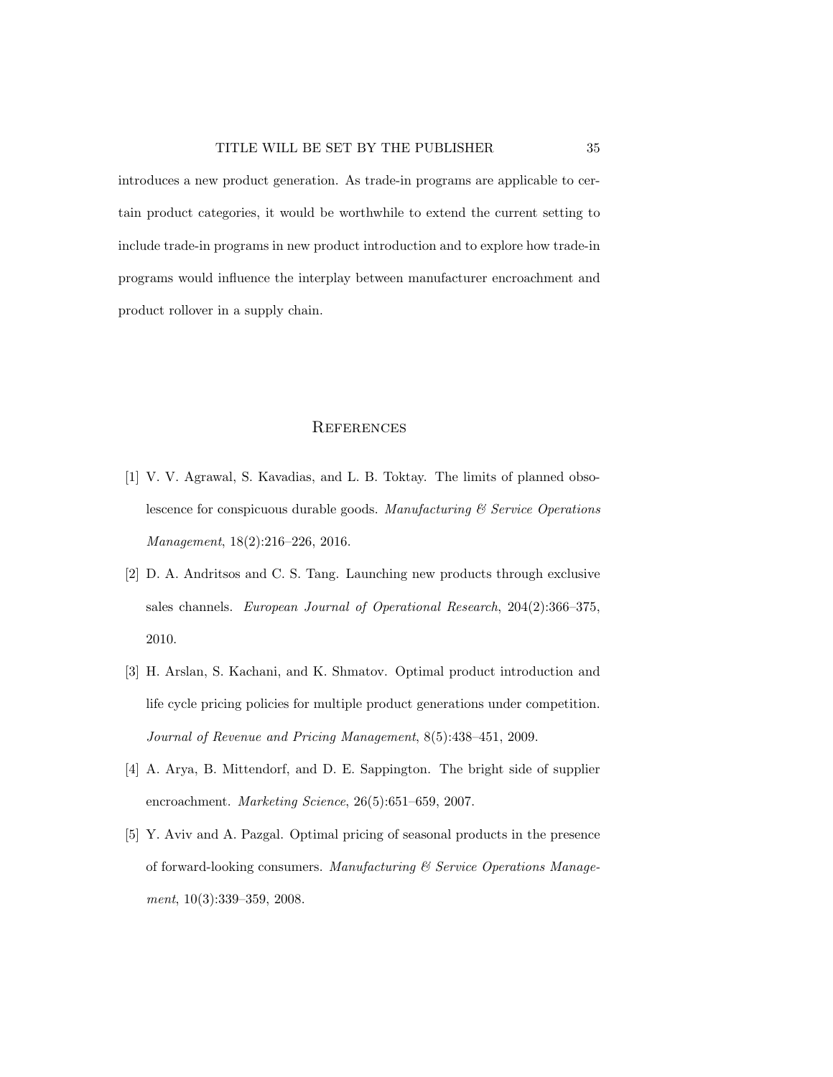introduces a new product generation. As trade-in programs are applicable to certain product categories, it would be worthwhile to extend the current setting to include trade-in programs in new product introduction and to explore how trade-in programs would influence the interplay between manufacturer encroachment and product rollover in a supply chain.

#### **REFERENCES**

- [1] V. V. Agrawal, S. Kavadias, and L. B. Toktay. The limits of planned obsolescence for conspicuous durable goods. Manufacturing  $\mathcal C$  Service Operations Management, 18(2):216–226, 2016.
- [2] D. A. Andritsos and C. S. Tang. Launching new products through exclusive sales channels. European Journal of Operational Research, 204(2):366–375, 2010.
- [3] H. Arslan, S. Kachani, and K. Shmatov. Optimal product introduction and life cycle pricing policies for multiple product generations under competition. Journal of Revenue and Pricing Management, 8(5):438–451, 2009.
- [4] A. Arya, B. Mittendorf, and D. E. Sappington. The bright side of supplier encroachment. Marketing Science, 26(5):651–659, 2007.
- [5] Y. Aviv and A. Pazgal. Optimal pricing of seasonal products in the presence of forward-looking consumers. Manufacturing & Service Operations Management, 10(3):339–359, 2008.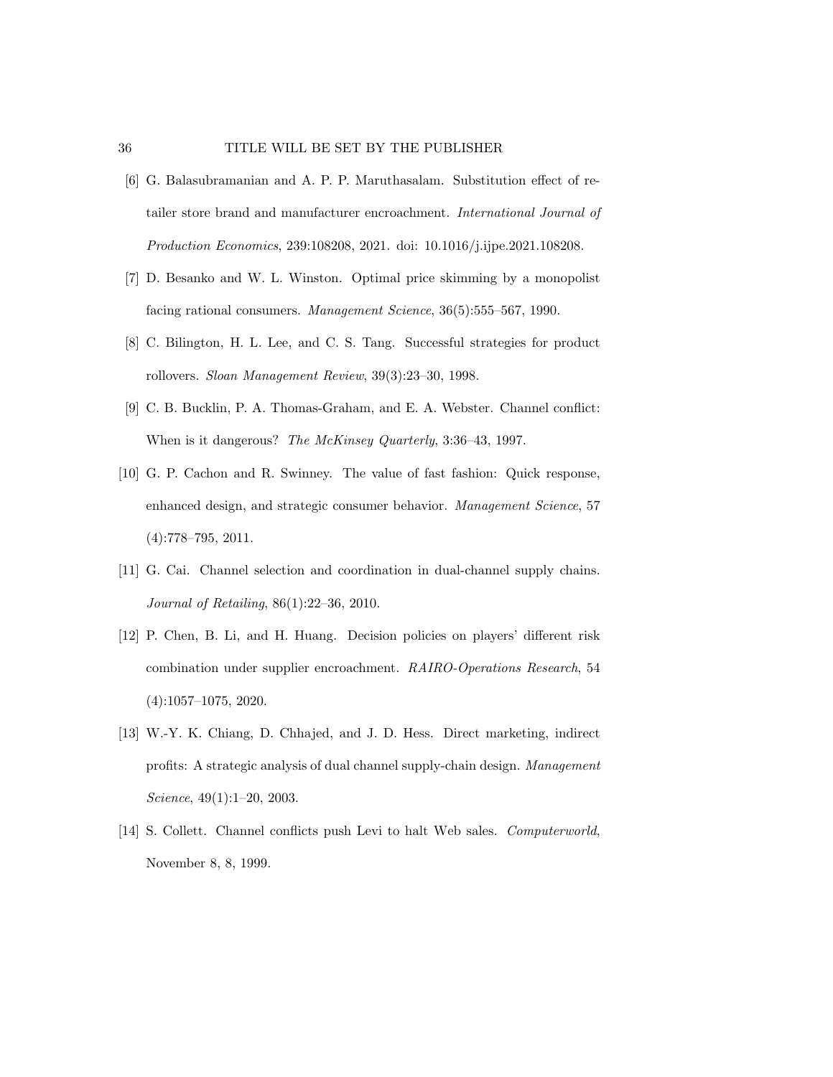#### 36 TITLE WILL BE SET BY THE PUBLISHER

- [6] G. Balasubramanian and A. P. P. Maruthasalam. Substitution effect of retailer store brand and manufacturer encroachment. International Journal of Production Economics, 239:108208, 2021. doi: 10.1016/j.ijpe.2021.108208.
- [7] D. Besanko and W. L. Winston. Optimal price skimming by a monopolist facing rational consumers. Management Science, 36(5):555-567, 1990.
- [8] C. Bilington, H. L. Lee, and C. S. Tang. Successful strategies for product rollovers. Sloan Management Review, 39(3):23–30, 1998.
- [9] C. B. Bucklin, P. A. Thomas-Graham, and E. A. Webster. Channel conflict: When is it dangerous? The McKinsey Quarterly, 3:36–43, 1997.
- [10] G. P. Cachon and R. Swinney. The value of fast fashion: Quick response, enhanced design, and strategic consumer behavior. Management Science, 57 (4):778–795, 2011.
- [11] G. Cai. Channel selection and coordination in dual-channel supply chains. Journal of Retailing, 86(1):22–36, 2010.
- [12] P. Chen, B. Li, and H. Huang. Decision policies on players' different risk combination under supplier encroachment. RAIRO-Operations Research, 54 (4):1057–1075, 2020.
- [13] W.-Y. K. Chiang, D. Chhajed, and J. D. Hess. Direct marketing, indirect profits: A strategic analysis of dual channel supply-chain design. Management Science, 49(1):1–20, 2003.
- [14] S. Collett. Channel conflicts push Levi to halt Web sales. Computerworld, November 8, 8, 1999.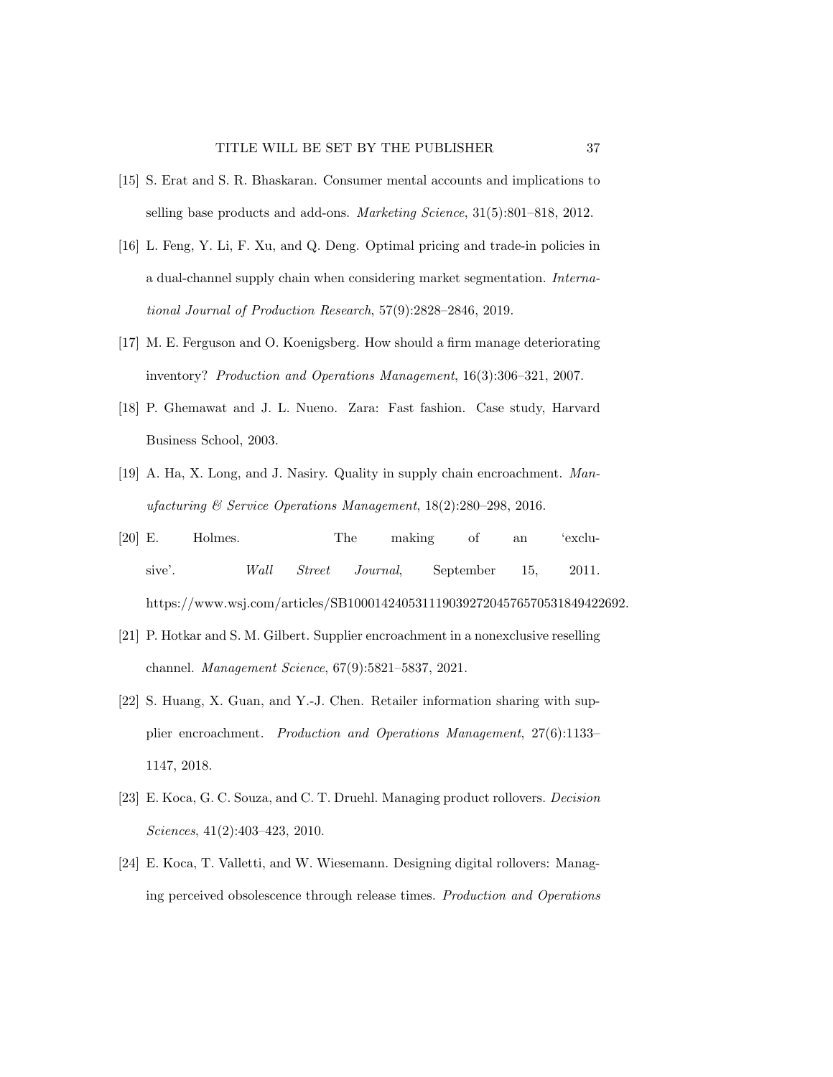- [15] S. Erat and S. R. Bhaskaran. Consumer mental accounts and implications to selling base products and add-ons. Marketing Science, 31(5):801–818, 2012.
- [16] L. Feng, Y. Li, F. Xu, and Q. Deng. Optimal pricing and trade-in policies in a dual-channel supply chain when considering market segmentation. International Journal of Production Research, 57(9):2828–2846, 2019.
- [17] M. E. Ferguson and O. Koenigsberg. How should a firm manage deteriorating inventory? Production and Operations Management, 16(3):306–321, 2007.
- [18] P. Ghemawat and J. L. Nueno. Zara: Fast fashion. Case study, Harvard Business School, 2003.
- [19] A. Ha, X. Long, and J. Nasiry. Quality in supply chain encroachment. Manufacturing & Service Operations Management, 18(2):280–298, 2016.
- [20] E. Holmes. The making of an 'exclusive'. Wall Street Journal, September 15, 2011. https://www.wsj.com/articles/SB10001424053111903927204576570531849422692.
- [21] P. Hotkar and S. M. Gilbert. Supplier encroachment in a nonexclusive reselling channel. Management Science, 67(9):5821–5837, 2021.
- [22] S. Huang, X. Guan, and Y.-J. Chen. Retailer information sharing with supplier encroachment. Production and Operations Management, 27(6):1133– 1147, 2018.
- [23] E. Koca, G. C. Souza, and C. T. Druehl. Managing product rollovers. Decision Sciences, 41(2):403–423, 2010.
- [24] E. Koca, T. Valletti, and W. Wiesemann. Designing digital rollovers: Managing perceived obsolescence through release times. Production and Operations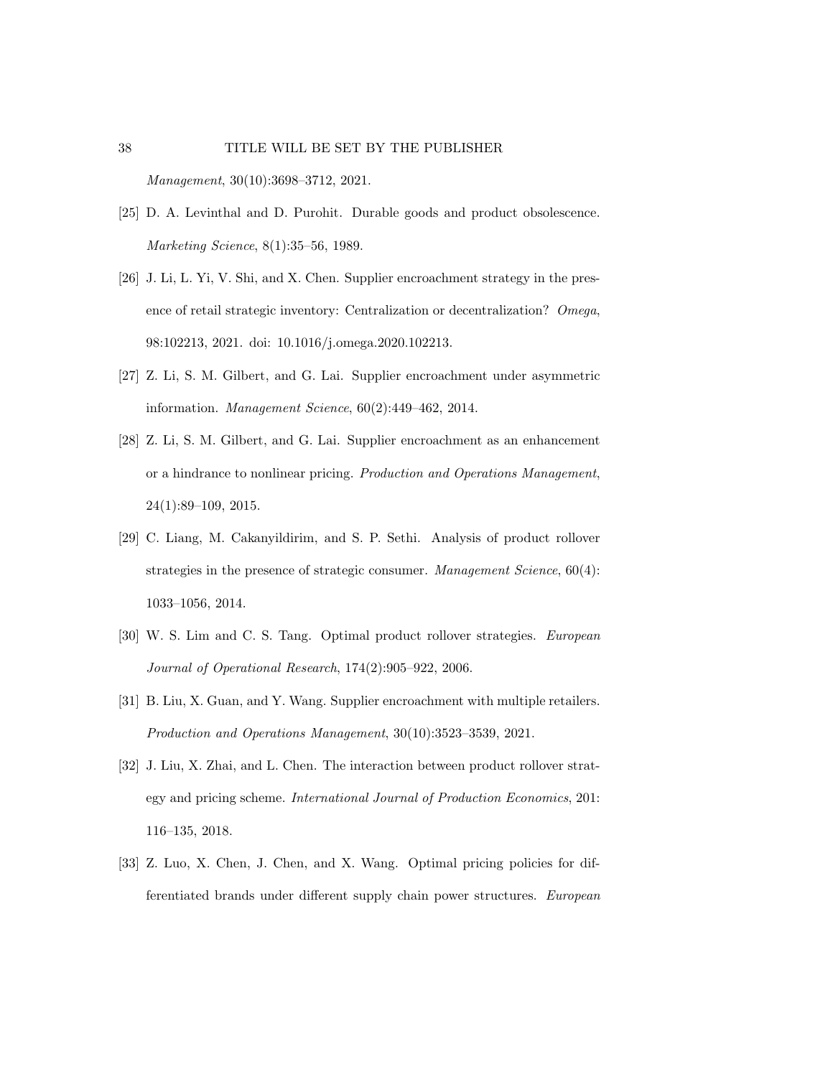# 38 TITLE WILL BE SET BY THE PUBLISHER Management, 30(10):3698–3712, 2021.

- [25] D. A. Levinthal and D. Purohit. Durable goods and product obsolescence. Marketing Science, 8(1):35–56, 1989.
- [26] J. Li, L. Yi, V. Shi, and X. Chen. Supplier encroachment strategy in the presence of retail strategic inventory: Centralization or decentralization? Omega, 98:102213, 2021. doi: 10.1016/j.omega.2020.102213.
- [27] Z. Li, S. M. Gilbert, and G. Lai. Supplier encroachment under asymmetric information. Management Science, 60(2):449–462, 2014.
- [28] Z. Li, S. M. Gilbert, and G. Lai. Supplier encroachment as an enhancement or a hindrance to nonlinear pricing. Production and Operations Management, 24(1):89–109, 2015.
- [29] C. Liang, M. Cakanyildirim, and S. P. Sethi. Analysis of product rollover strategies in the presence of strategic consumer. Management Science, 60(4): 1033–1056, 2014.
- [30] W. S. Lim and C. S. Tang. Optimal product rollover strategies. European Journal of Operational Research, 174(2):905–922, 2006.
- [31] B. Liu, X. Guan, and Y. Wang. Supplier encroachment with multiple retailers. Production and Operations Management, 30(10):3523–3539, 2021.
- [32] J. Liu, X. Zhai, and L. Chen. The interaction between product rollover strategy and pricing scheme. International Journal of Production Economics, 201: 116–135, 2018.
- [33] Z. Luo, X. Chen, J. Chen, and X. Wang. Optimal pricing policies for differentiated brands under different supply chain power structures. European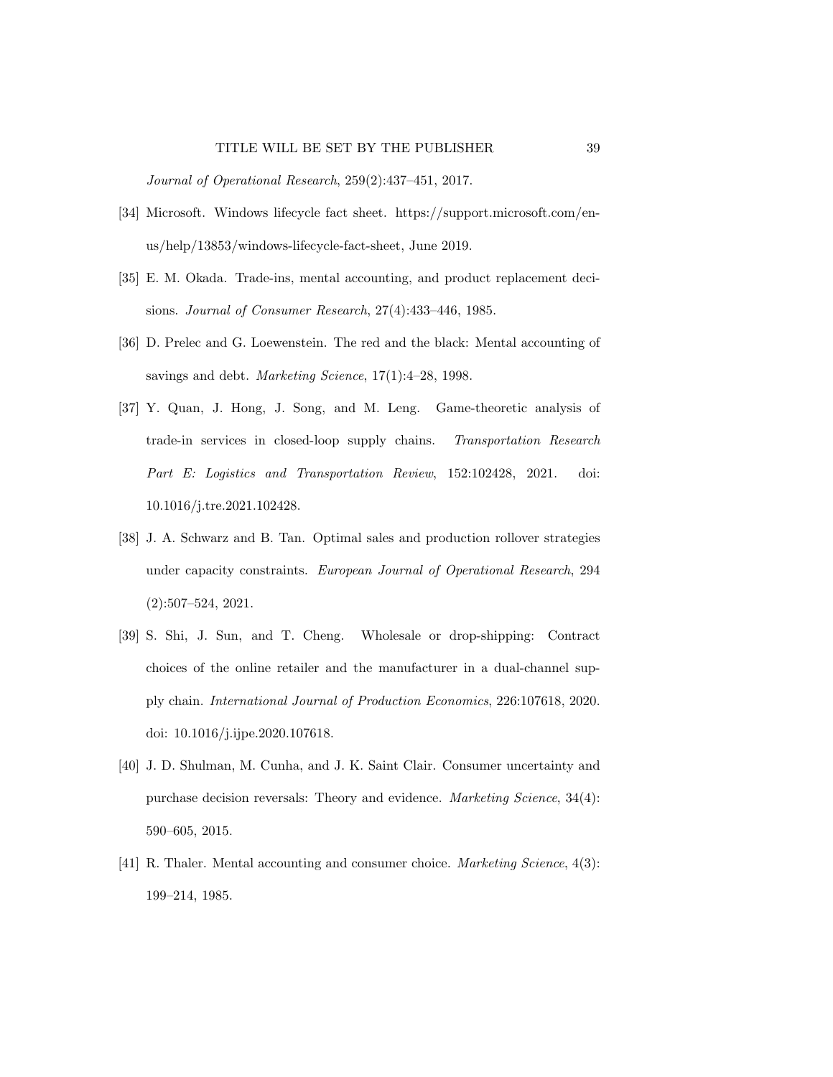Journal of Operational Research, 259(2):437–451, 2017.

- [34] Microsoft. Windows lifecycle fact sheet. https://support.microsoft.com/enus/help/13853/windows-lifecycle-fact-sheet, June 2019.
- [35] E. M. Okada. Trade-ins, mental accounting, and product replacement decisions. Journal of Consumer Research, 27(4):433–446, 1985.
- [36] D. Prelec and G. Loewenstein. The red and the black: Mental accounting of savings and debt. Marketing Science, 17(1):4–28, 1998.
- [37] Y. Quan, J. Hong, J. Song, and M. Leng. Game-theoretic analysis of trade-in services in closed-loop supply chains. Transportation Research Part E: Logistics and Transportation Review, 152:102428, 2021. doi: 10.1016/j.tre.2021.102428.
- [38] J. A. Schwarz and B. Tan. Optimal sales and production rollover strategies under capacity constraints. European Journal of Operational Research, 294 (2):507–524, 2021.
- [39] S. Shi, J. Sun, and T. Cheng. Wholesale or drop-shipping: Contract choices of the online retailer and the manufacturer in a dual-channel supply chain. International Journal of Production Economics, 226:107618, 2020. doi: 10.1016/j.ijpe.2020.107618.
- [40] J. D. Shulman, M. Cunha, and J. K. Saint Clair. Consumer uncertainty and purchase decision reversals: Theory and evidence. Marketing Science, 34(4): 590–605, 2015.
- [41] R. Thaler. Mental accounting and consumer choice. Marketing Science, 4(3): 199–214, 1985.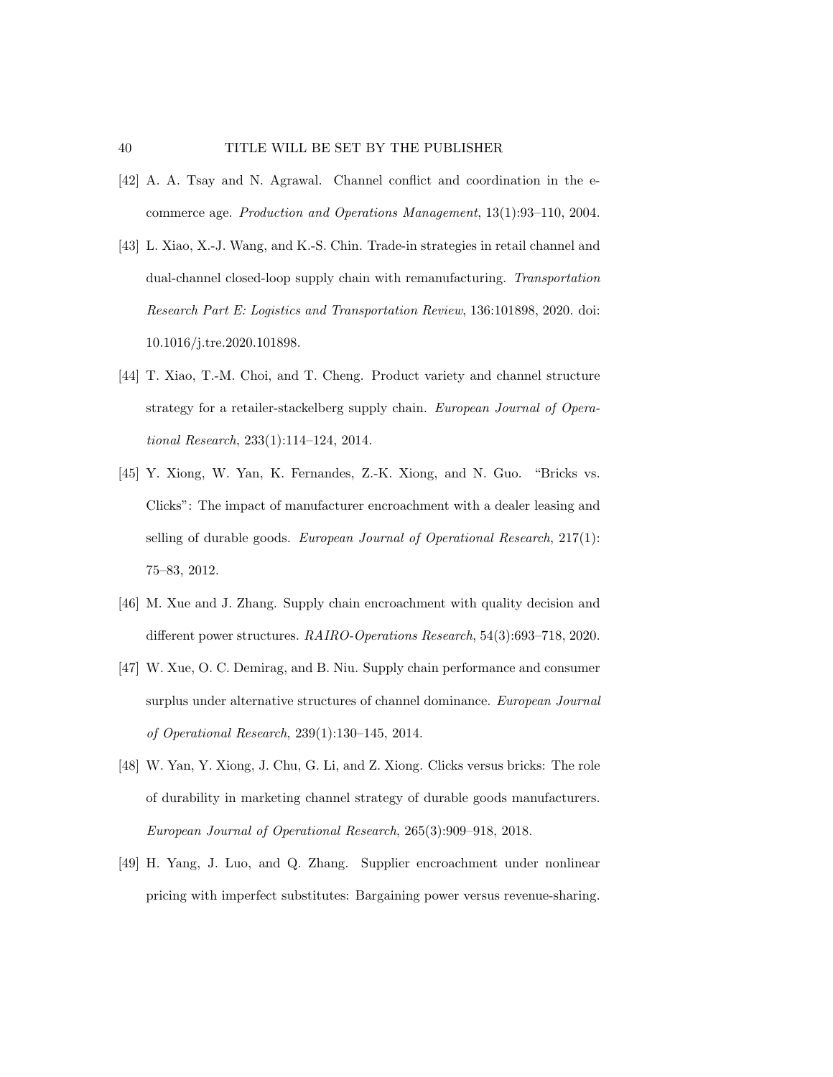- [42] A. A. Tsay and N. Agrawal. Channel conflict and coordination in the ecommerce age. Production and Operations Management, 13(1):93–110, 2004.
- [43] L. Xiao, X.-J. Wang, and K.-S. Chin. Trade-in strategies in retail channel and dual-channel closed-loop supply chain with remanufacturing. Transportation Research Part E: Logistics and Transportation Review, 136:101898, 2020. doi: 10.1016/j.tre.2020.101898.
- [44] T. Xiao, T.-M. Choi, and T. Cheng. Product variety and channel structure strategy for a retailer-stackelberg supply chain. European Journal of Operational Research, 233(1):114–124, 2014.
- [45] Y. Xiong, W. Yan, K. Fernandes, Z.-K. Xiong, and N. Guo. "Bricks vs. Clicks": The impact of manufacturer encroachment with a dealer leasing and selling of durable goods. European Journal of Operational Research, 217(1): 75–83, 2012.
- [46] M. Xue and J. Zhang. Supply chain encroachment with quality decision and different power structures. RAIRO-Operations Research, 54(3):693–718, 2020.
- [47] W. Xue, O. C. Demirag, and B. Niu. Supply chain performance and consumer surplus under alternative structures of channel dominance. European Journal of Operational Research, 239(1):130–145, 2014.
- [48] W. Yan, Y. Xiong, J. Chu, G. Li, and Z. Xiong. Clicks versus bricks: The role of durability in marketing channel strategy of durable goods manufacturers. European Journal of Operational Research, 265(3):909–918, 2018.
- [49] H. Yang, J. Luo, and Q. Zhang. Supplier encroachment under nonlinear pricing with imperfect substitutes: Bargaining power versus revenue-sharing.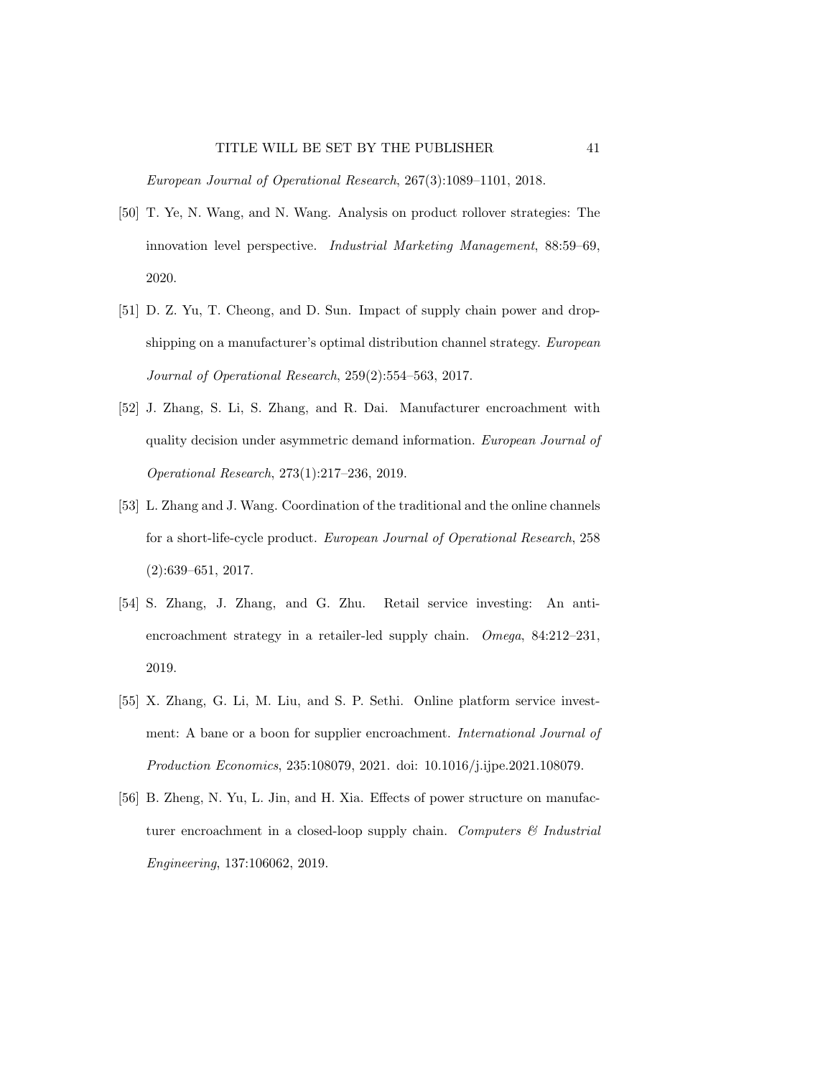European Journal of Operational Research, 267(3):1089–1101, 2018.

- [50] T. Ye, N. Wang, and N. Wang. Analysis on product rollover strategies: The innovation level perspective. Industrial Marketing Management, 88:59–69, 2020.
- [51] D. Z. Yu, T. Cheong, and D. Sun. Impact of supply chain power and dropshipping on a manufacturer's optimal distribution channel strategy. European Journal of Operational Research, 259(2):554–563, 2017.
- [52] J. Zhang, S. Li, S. Zhang, and R. Dai. Manufacturer encroachment with quality decision under asymmetric demand information. European Journal of Operational Research, 273(1):217–236, 2019.
- [53] L. Zhang and J. Wang. Coordination of the traditional and the online channels for a short-life-cycle product. European Journal of Operational Research, 258 (2):639–651, 2017.
- [54] S. Zhang, J. Zhang, and G. Zhu. Retail service investing: An antiencroachment strategy in a retailer-led supply chain. Omega, 84:212–231, 2019.
- [55] X. Zhang, G. Li, M. Liu, and S. P. Sethi. Online platform service investment: A bane or a boon for supplier encroachment. International Journal of Production Economics, 235:108079, 2021. doi: 10.1016/j.ijpe.2021.108079.
- [56] B. Zheng, N. Yu, L. Jin, and H. Xia. Effects of power structure on manufacturer encroachment in a closed-loop supply chain. Computers  $\mathcal C$  Industrial Engineering, 137:106062, 2019.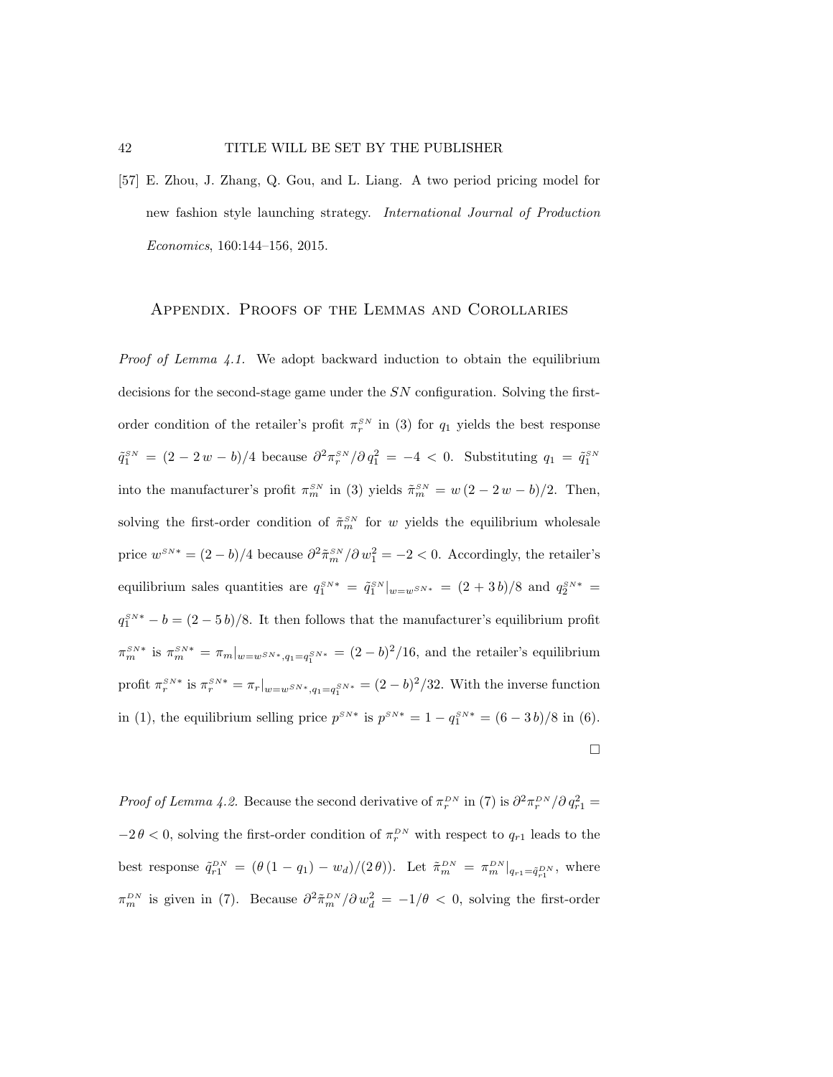#### 42 TITLE WILL BE SET BY THE PUBLISHER

[57] E. Zhou, J. Zhang, Q. Gou, and L. Liang. A two period pricing model for new fashion style launching strategy. International Journal of Production Economics, 160:144–156, 2015.

#### Appendix. Proofs of the Lemmas and Corollaries

*Proof of Lemma 4.1.* We adopt backward induction to obtain the equilibrium decisions for the second-stage game under the SN configuration. Solving the firstorder condition of the retailer's profit  $\pi_r^{SN}$  in (3) for  $q_1$  yields the best response  $\tilde{q}_1^{SN} = (2 - 2w - b)/4$  because  $\partial^2 \pi_r^{SN}/\partial q_1^2 = -4 < 0$ . Substituting  $q_1 = \tilde{q}_1^{SN}$ into the manufacturer's profit  $\pi_m^{SN}$  in (3) yields  $\tilde{\pi}_m^{SN} = w(2 - 2w - b)/2$ . Then, solving the first-order condition of  $\tilde{\pi}_m^{SN}$  for w yields the equilibrium wholesale price  $w^{SN*} = (2 - b)/4$  because  $\partial^2 \tilde{\pi}_m^{SN}/\partial w_1^2 = -2 < 0$ . Accordingly, the retailer's equilibrium sales quantities are  $q_1^{SN*} = \tilde{q}_1^{SN}|_{w=w^{SN*}} = (2+3b)/8$  and  $q_2^{SN*} =$  $q_1^{SN*} - b = (2 - 5b)/8$ . It then follows that the manufacturer's equilibrium profit  $\pi_m^{SN*}$  is  $\pi_m^{SN*} = \pi_m|_{w=w^{SN*}, q_1=q_1^{SN*}} = (2-b)^2/16$ , and the retailer's equilibrium profit  $\pi_r^{SN*}$  is  $\pi_r^{SN*} = \pi_r|_{w=w^{SN*}, q_1=q_1^{SN*}} = (2-b)^2/32$ . With the inverse function in (1), the equilibrium selling price  $p^{SN*}$  is  $p^{SN*} = 1 - q_1^{SN*} = (6 - 3b)/8$  in (6).  $\Box$ 

Proof of Lemma 4.2. Because the second derivative of  $\pi_r^{DN}$  in (7) is  $\partial^2 \pi_r^{DN}/\partial q_{r1}^2 =$  $-2\theta < 0$ , solving the first-order condition of  $\pi_r^{DN}$  with respect to  $q_{r1}$  leads to the best response  $\tilde{q}_{r1}^{DN} = (\theta (1 - q_1) - w_d)/(2 \theta)$ . Let  $\tilde{\pi}_m^{DN} = {\pi}_{m}^{DN}|_{q_{r1} = \tilde{q}_{r1}^{DN}}$ , where  $\pi_m^{DN}$  is given in (7). Because  $\partial^2 \tilde{\pi}_m^{DN} / \partial w_d^2 = -1/\theta < 0$ , solving the first-order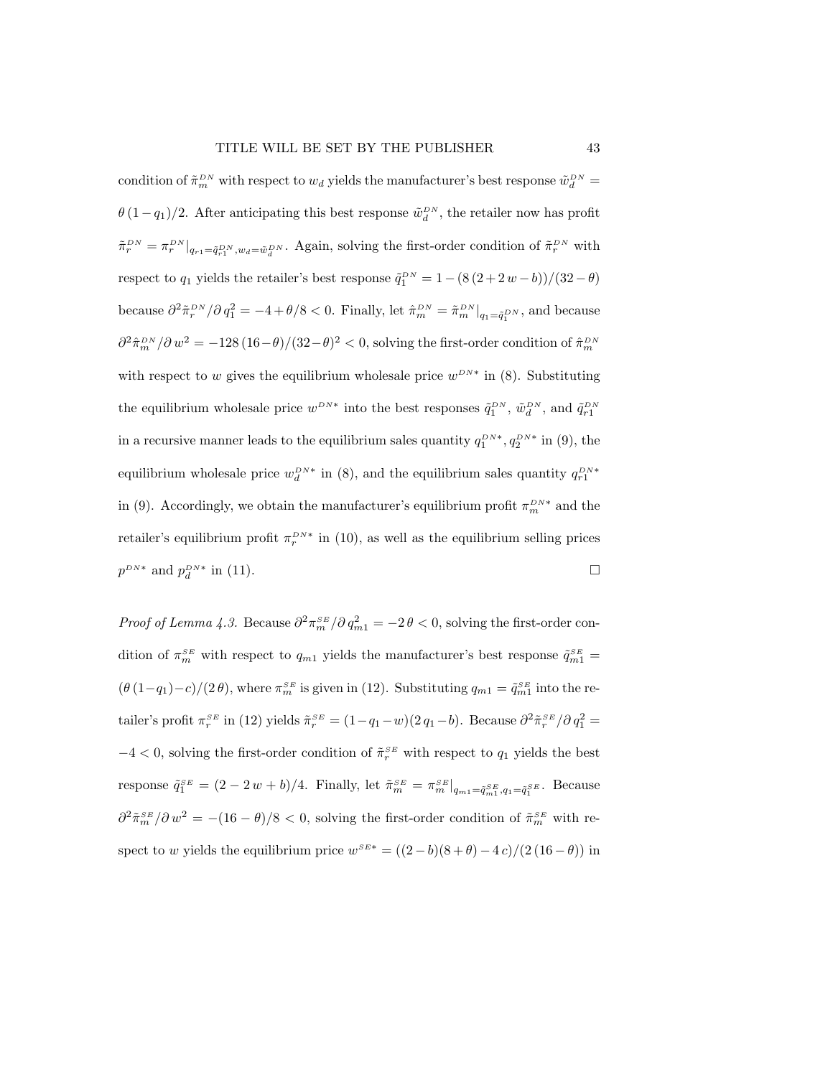condition of  $\tilde{\pi}_m^{DN}$  with respect to  $w_d$  yields the manufacturer's best response  $\tilde{w}_d^{DN}$  $\theta(1-q_1)/2$ . After anticipating this best response  $\tilde{\omega}_d^{DN}$ , the retailer now has profit  $\tilde{\pi}_r^{DN} = \pi_r^{DN}|_{q_{r1} = \tilde{q}_{r1}^{DN}, w_d = \tilde{w}_d^{DN}}$ . Again, solving the first-order condition of  $\tilde{\pi}_r^{DN}$  with respect to  $q_1$  yields the retailer's best response  $\tilde{q}_1^{DN} = 1 - (8(2 + 2w - b))/(32 - \theta)$ because  $\partial^2 \tilde{\pi}_r^{DN} / \partial q_1^2 = -4 + \theta/8 < 0$ . Finally, let  $\hat{\pi}_m^{DN} = \tilde{\pi}_m^{DN} |_{q_1 = \tilde{q}_1^{DN}}$ , and because  $\partial^2 \hat{\pi}_m^{DN} / \partial w^2 = -128(16 - \theta)/(32 - \theta)^2 < 0$ , solving the first-order condition of  $\hat{\pi}_m^{DN}$ with respect to w gives the equilibrium wholesale price  $w^{DN*}$  in (8). Substituting the equilibrium wholesale price  $w^{DN*}$  into the best responses  $\tilde{q}_1^{DN}$ ,  $\tilde{w}_d^{DN}$ , and  $\tilde{q}_{r1}^{DN}$ in a recursive manner leads to the equilibrium sales quantity  $q_1^{DN*}, q_2^{DN*}$  in (9), the equilibrium wholesale price  $w_d^{DN*}$  in (8), and the equilibrium sales quantity  $q_{r1}^{DN*}$ in (9). Accordingly, we obtain the manufacturer's equilibrium profit  $\pi_m^{DN*}$  and the retailer's equilibrium profit  $\pi_r^{DN*}$  in (10), as well as the equilibrium selling prices  $p^{DN*}$  and  $p_d^{DN*}$  in (11).

*Proof of Lemma 4.3.* Because  $\partial^2 \pi_m^{SE}/\partial q_{m1}^2 = -2\theta < 0$ , solving the first-order condition of  $\pi_m^{SE}$  with respect to  $q_{m1}$  yields the manufacturer's best response  $\tilde{q}_{m1}^{SE}$  =  $(\theta(1-q_1)-c)/(2\theta)$ , where  $\pi_m^{SE}$  is given in (12). Substituting  $q_{m1} = \tilde{q}_{m1}^{SE}$  into the retailer's profit  $\pi_r^{SE}$  in (12) yields  $\tilde{\pi}_r^{SE} = (1 - q_1 - w)(2 q_1 - b)$ . Because  $\partial^2 \tilde{\pi}_r^{SE}/\partial q_1^2 =$  $-4 < 0$ , solving the first-order condition of  $\tilde{\pi}_r^{SE}$  with respect to  $q_1$  yields the best response  $\tilde{q}_1^{SE} = (2 - 2w + b)/4$ . Finally, let  $\tilde{\pi}_m^{SE} = \pi_m^{SE}|_{q_{m1} = \tilde{q}_{m1}^{SE}, q_1 = \tilde{q}_1^{SE}}$ . Because  $\partial^2 \tilde{\pi}_m^{SE} / \partial w^2 = -(16 - \theta)/8 < 0$ , solving the first-order condition of  $\tilde{\pi}_m^{SE}$  with respect to w yields the equilibrium price  $w^{SE*} = ((2 - b)(8 + \theta) - 4c)/(2(16 - \theta))$  in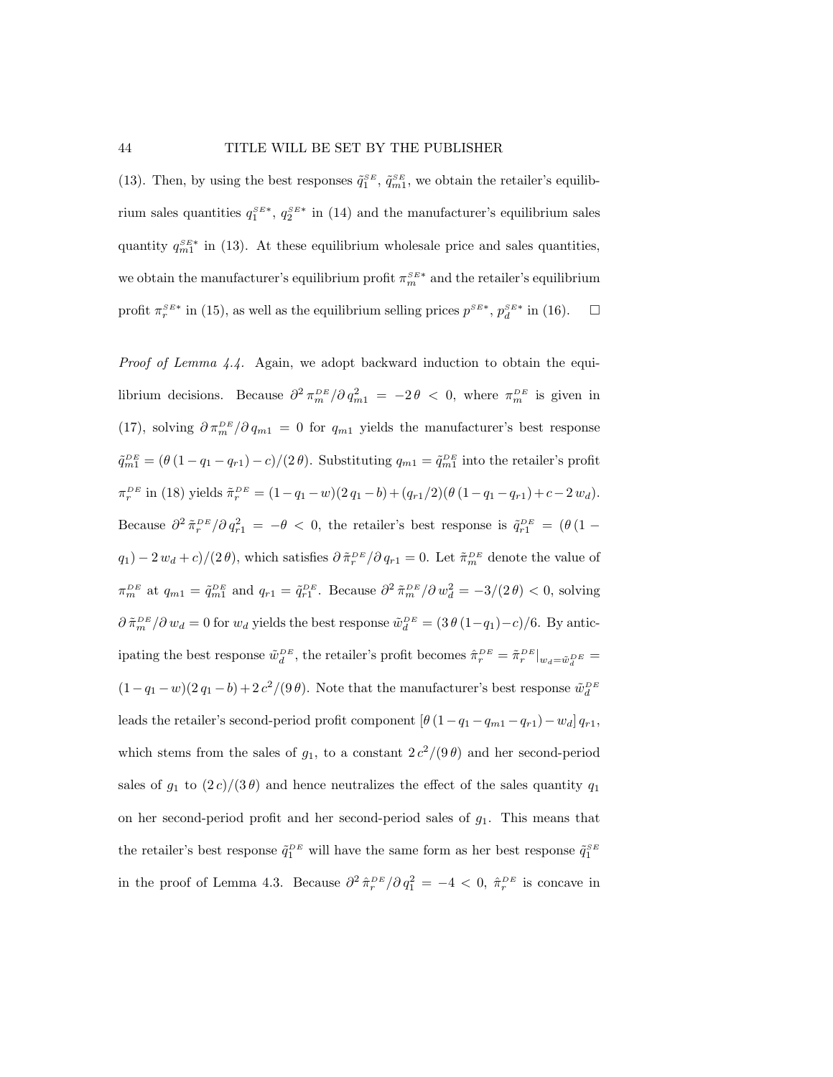(13). Then, by using the best responses  $\tilde{q}_1^{SE}$ ,  $\tilde{q}_{m1}^{SE}$ , we obtain the retailer's equilibrium sales quantities  $q_1^{SE*}$ ,  $q_2^{SE*}$  in (14) and the manufacturer's equilibrium sales quantity  $q_{m1}^{SE*}$  in (13). At these equilibrium wholesale price and sales quantities, we obtain the manufacturer's equilibrium profit  $\pi_m^{SE*}$  and the retailer's equilibrium profit  $\pi_r^{SE*}$  in (15), as well as the equilibrium selling prices  $p^{SE*}$ ,  $p_d^{SE*}$  in (16).  $\Box$ 

Proof of Lemma 4.4. Again, we adopt backward induction to obtain the equilibrium decisions. Because  $\partial^2 \pi_m^{DE}/\partial q_{m1}^2 = -2\theta < 0$ , where  $\pi_m^{DE}$  is given in (17), solving  $\partial \pi_m^{DE}/\partial q_{m1} = 0$  for  $q_{m1}$  yields the manufacturer's best response  $\tilde{q}_{m1}^{DE} = (\theta (1 - q_1 - q_{r1}) - c)/(2 \theta)$ . Substituting  $q_{m1} = \tilde{q}_{m1}^{DE}$  into the retailer's profit  $\pi_r^{DE}$  in (18) yields  $\tilde{\pi}_r^{DE} = (1 - q_1 - w)(2 q_1 - b) + (q_{r1}/2)(\theta (1 - q_1 - q_{r1}) + c - 2 w_d).$ Because  $\partial^2 \tilde{\pi}_r^{DE} / \partial q_{r1}^2 = -\theta < 0$ , the retailer's best response is  $\tilde{q}_{r1}^{DE} = (\theta (1$  $q_1$ ) – 2 $w_d + c$ /(2 $\theta$ ), which satisfies  $\partial \tilde{\pi}_r^{DE}/\partial q_{r1} = 0$ . Let  $\tilde{\pi}_m^{DE}$  denote the value of  $\pi_m^{DE}$  at  $q_{m1} = \tilde{q}_{m1}^{DE}$  and  $q_{r1} = \tilde{q}_{r1}^{DE}$ . Because  $\partial^2 \tilde{\pi}_m^{DE} / \partial w_d^2 = -3/(2\theta) < 0$ , solving  $\partial \tilde{\pi}_m^{DE}/\partial w_d = 0$  for  $w_d$  yields the best response  $\tilde{w}_d^{DE} = (3 \theta (1 - q_1) - c)/6$ . By anticipating the best response  $\tilde{w}_d^{DE}$ , the retailer's profit becomes  $\hat{\pi}_r^{DE} = \tilde{\pi}_r^{DE}|_{w_d = \tilde{w}_d^{DE}} =$  $(1-q_1-w)(2q_1-b)+2c^2/(9\theta)$ . Note that the manufacturer's best response  $\tilde{w}_d^{DE}$ leads the retailer's second-period profit component  $[\theta (1 - q_1 - q_{m1} - q_{r1}) - w_d] q_{r1}$ , which stems from the sales of  $g_1$ , to a constant  $2 c^2/(9 \theta)$  and her second-period sales of  $g_1$  to  $(2 c)/(3 \theta)$  and hence neutralizes the effect of the sales quantity  $q_1$ on her second-period profit and her second-period sales of  $g_1$ . This means that the retailer's best response  $\tilde{q}_1^{DE}$  will have the same form as her best response  $\tilde{q}_1^{SE}$ in the proof of Lemma 4.3. Because  $\partial^2 \hat{\pi}_r^{DE}/\partial q_1^2 = -4 < 0$ ,  $\hat{\pi}_r^{DE}$  is concave in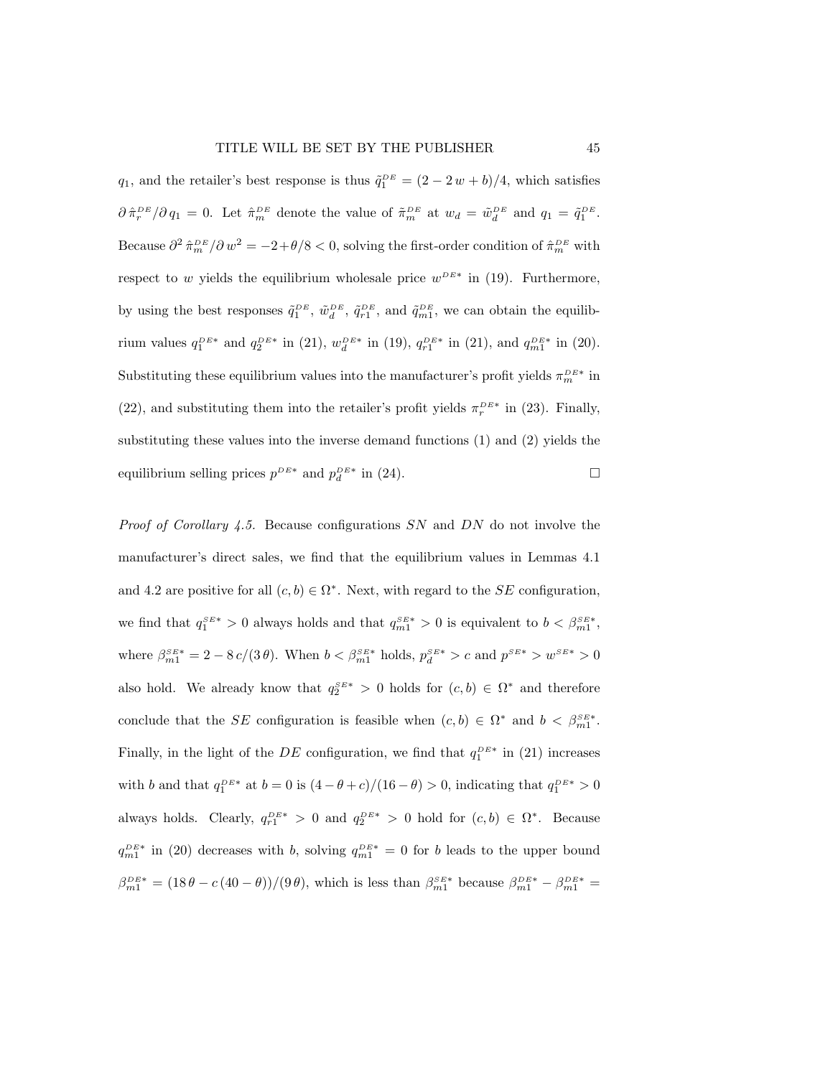$q_1$ , and the retailer's best response is thus  $\tilde{q}_1^{DE} = (2 - 2w + b)/4$ , which satisfies  $\partial \hat{\pi}_r^{DE}/\partial q_1 = 0$ . Let  $\hat{\pi}_m^{DE}$  denote the value of  $\tilde{\pi}_m^{DE}$  at  $w_d = \tilde{w}_d^{DE}$  and  $q_1 = \tilde{q}_1^{DE}$ . Because  $\partial^2 \hat{\pi}_m^{DE} / \partial w^2 = -2 + \theta/8 < 0$ , solving the first-order condition of  $\hat{\pi}_m^{DE}$  with respect to w yields the equilibrium wholesale price  $w^{DE*}$  in (19). Furthermore, by using the best responses  $\tilde{q}_1^{DE}$ ,  $\tilde{w}_d^{DE}$ ,  $\tilde{q}_{r1}^{DE}$ , and  $\tilde{q}_{m1}^{DE}$ , we can obtain the equilibrium values  $q_1^{DE*}$  and  $q_2^{DE*}$  in (21),  $w_d^{DE*}$  in (19),  $q_{r1}^{DE*}$  in (21), and  $q_{m1}^{DE*}$  in (20). Substituting these equilibrium values into the manufacturer's profit yields  $\pi_m^{DE*}$  in (22), and substituting them into the retailer's profit yields  $\pi_r^{DE*}$  in (23). Finally, substituting these values into the inverse demand functions (1) and (2) yields the equilibrium selling prices  $p^{DE*}$  and  $p_d^{DE*}$  in (24).

*Proof of Corollary 4.5.* Because configurations  $SN$  and  $DN$  do not involve the manufacturer's direct sales, we find that the equilibrium values in Lemmas 4.1 and 4.2 are positive for all  $(c, b) \in \Omega^*$ . Next, with regard to the SE configuration, we find that  $q_1^{SE*} > 0$  always holds and that  $q_{m1}^{SE*} > 0$  is equivalent to  $b < \beta_{m1}^{SE*}$ , where  $\beta_{m1}^{SE*} = 2 - 8 c/(3 \theta)$ . When  $b < \beta_{m1}^{SE*}$  holds,  $p_d^{SE*} > c$  and  $p^{SE*} > w^{SE*} > 0$ also hold. We already know that  $q_2^{SE*} > 0$  holds for  $(c, b) \in \Omega^*$  and therefore conclude that the SE configuration is feasible when  $(c, b) \in \Omega^*$  and  $b < \beta_{m1}^{SE*}$ . Finally, in the light of the  $DE$  configuration, we find that  $q_1^{DE*}$  in (21) increases with b and that  $q_1^{DE*}$  at  $b = 0$  is  $(4 - \theta + c)/(16 - \theta) > 0$ , indicating that  $q_1^{DE*} > 0$ always holds. Clearly,  $q_{r1}^{DE*} > 0$  and  $q_2^{DE*} > 0$  hold for  $(c, b) \in \Omega^*$ . Because  $q_{m1}^{DE*}$  in (20) decreases with b, solving  $q_{m1}^{DE*} = 0$  for b leads to the upper bound  $\beta_{m1}^{DE*} = (18\theta - c(40 - \theta))/(9\theta)$ , which is less than  $\beta_{m1}^{SE*}$  because  $\beta_{m1}^{DE*} - \beta_{m1}^{DE*} =$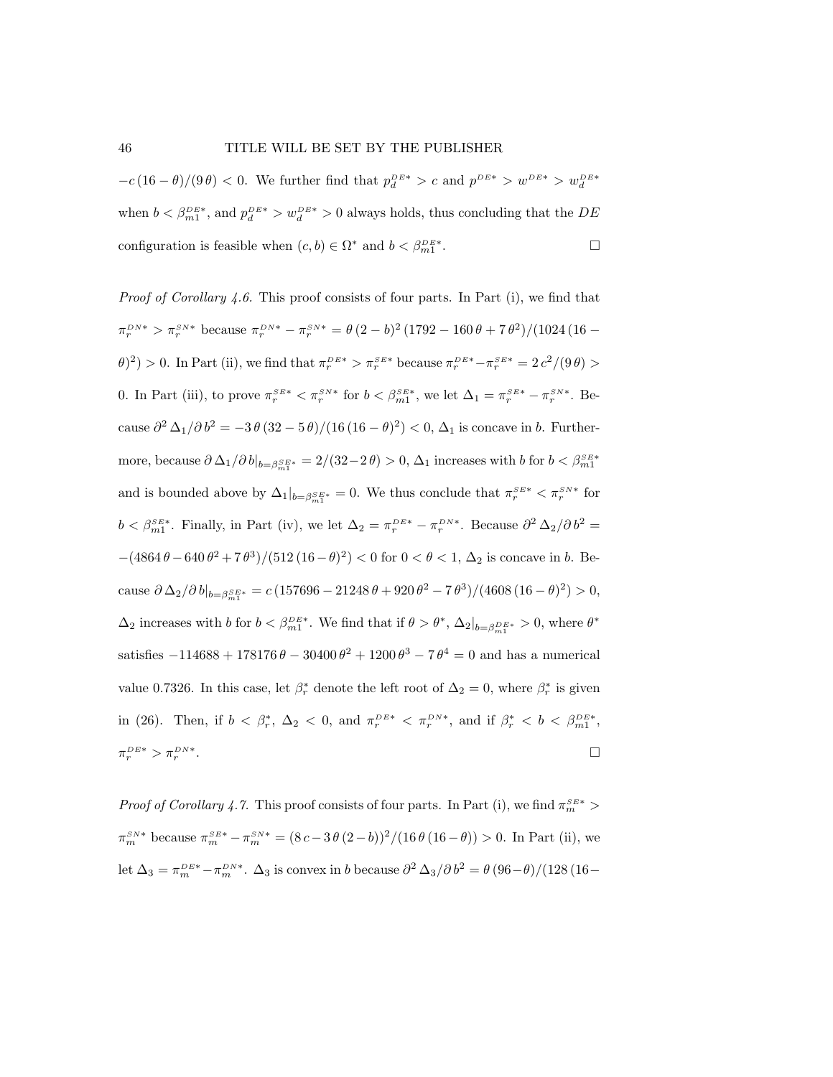#### 46 TITLE WILL BE SET BY THE PUBLISHER

 $-c(16-\theta)/(9\theta) < 0$ . We further find that  $p_d^{DE*} > c$  and  $p^{DE*} > w^{DE*} > w_d^{DE*}$ when  $b < \beta_{m1}^{DE*}$ , and  $p_d^{DE*} > w_d^{DE*} > 0$  always holds, thus concluding that the  $DE$ configuration is feasible when  $(c, b) \in \Omega^*$  and  $b < \beta_{m1}^{DE*}$ . — Процессиональные производствование и производствование и производствование и производствование и производс<br>В 1990 году в 1990 году в 1990 году в 1990 году в 1990 году в 1990 году в 1990 году в 1990 году в 1990 году в<br>

*Proof of Corollary 4.6.* This proof consists of four parts. In Part  $(i)$ , we find that  $\pi_r^{DN*} > \pi_r^{SN*}$  because  $\pi_r^{DN*} - \pi_r^{SN*} = \theta (2-b)^2 (1792 - 160 \theta + 7 \theta^2) / (1024 (16 (\theta)^2$  > 0. In Part (ii), we find that  $\pi_r^{DE*} > \pi_r^{SE*}$  because  $\pi_r^{DE*} - \pi_r^{SE*} = 2 c^2/(9 \theta) > 0$ 0. In Part (iii), to prove  $\pi_r^{S E*} < \pi_r^{S N*}$  for  $b < \beta_{m1}^{S E*}$ , we let  $\Delta_1 = \pi_r^{S E*} - \pi_r^{S N*}$ . Because  $\partial^2 \Delta_1/\partial b^2 = -3 \theta (32 - 5 \theta)/(16 (16 - \theta)^2) < 0$ ,  $\Delta_1$  is concave in b. Furthermore, because  $\partial \Delta_1/\partial b|_{b=\beta_{m1}^{SE*}} = 2/(32-2\theta) > 0$ ,  $\Delta_1$  increases with  $b$  for  $b < \beta_{m1}^{SE*}$ and is bounded above by  $\Delta_1|_{b=\beta_{m_1}^{SE*}}=0$ . We thus conclude that  $\pi_r^{SE*} < \pi_r^{SN*}$  for  $b < \beta_{m1}^{SE*}$ . Finally, in Part (iv), we let  $\Delta_2 = \pi_r^{DE*} - \pi_r^{DN*}$ . Because  $\partial^2 \Delta_2 / \partial b^2 =$  $-(4864\theta - 640\theta^2 + 7\theta^3)/(512(16-\theta)^2) < 0$  for  $0 < \theta < 1$ ,  $\Delta_2$  is concave in b. Because  $\partial \Delta_2 / \partial b \vert_{b = \beta_{m1}^{SE*}} = c \left( \frac{157696 - 21248 \theta + 920 \theta^2 - 7 \theta^3}{\sqrt{4608 (16 - \theta)^2}} \right) > 0,$  $\Delta_2$  increases with b for  $b < \beta_{m1}^{DE*}$ . We find that if  $\theta > \theta^*$ ,  $\Delta_2|_{b=\beta_{m1}^{DE*}} > 0$ , where  $\theta^*$ satisfies  $-114688 + 178176 \theta - 30400 \theta^2 + 1200 \theta^3 - 7 \theta^4 = 0$  and has a numerical value 0.7326. In this case, let  $\beta_r^*$  denote the left root of  $\Delta_2 = 0$ , where  $\beta_r^*$  is given in (26). Then, if  $b < \beta_r^*$ ,  $\Delta_2 < 0$ , and  $\pi_r^{DE*} < \pi_r^{DN*}$ , and if  $\beta_r^* < b < \beta_{m1}^{DE*}$ ,  $\pi_r^{DE*} > \pi_r^{DN*}$ .

*Proof of Corollary 4.7.* This proof consists of four parts. In Part (i), we find  $\pi_m^{SE*}$  >  $\pi_m^{SN*}$  because  $\pi_m^{SE*} - \pi_m^{SN*} = (8c - 3\theta(2 - b))^2/(16\theta(16 - \theta)) > 0$ . In Part (ii), we let  $\Delta_3 = \pi_m^{DE*} - \pi_m^{DN*}$ .  $\Delta_3$  is convex in b because  $\partial^2 \Delta_3 / \partial b^2 = \theta (96 - \theta)/(128 (16 - \theta))$